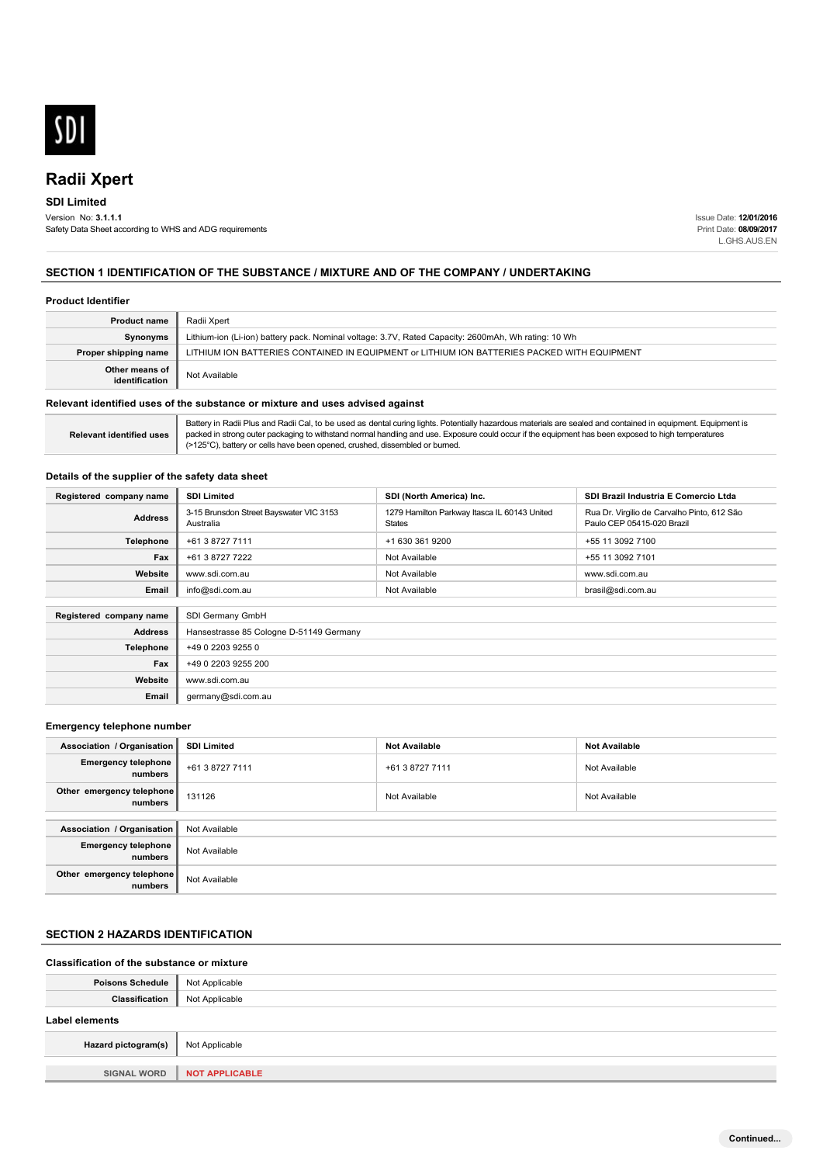

# **SDI Limited**

Version No: **3.1.1.1** Safety Data Sheet according to WHS and ADG requirements Issue Date: **12/01/2016**  Print Date: **08/09/2017**  L.GHS.AUS.EN

## **SECTION 1 IDENTIFICATION OF THE SUBSTANCE / MIXTURE AND OF THE COMPANY / UNDERTAKING**

#### **Product Identifier**

| <b>Product name</b>              | Radii Xpert                                                                                         |  |
|----------------------------------|-----------------------------------------------------------------------------------------------------|--|
| Synonyms                         | Lithium-ion (Li-ion) battery pack. Nominal voltage: 3.7V, Rated Capacity: 2600mAh, Wh rating: 10 Wh |  |
| Proper shipping name             | LITHIUM ION BATTERIES CONTAINED IN EQUIPMENT or LITHIUM ION BATTERIES PACKED WITH EQUIPMENT         |  |
| Other means of<br>identification | Not Available                                                                                       |  |

#### **Relevant identified uses of the substance or mixture and uses advised against**

**Relevant identified uses** Battery in Radii Plus and Radii Cal, to be used as dental curing lights. Potentially hazardous materials are sealed and contained in equipment. Equipment is packed in strong outer packaging to withstand normal handling and use. Exposure could occur if the equipment has been exposed to high temperatures (>125°C), battery or cells have been opened, crushed, dissembled or burned.

## **Details of the supplier of the safety data sheet**

| Registered company name | <b>SDI Limited</b>                                   | SDI (North America) Inc.                                      | SDI Brazil Industria E Comercio Ltda                                      |  |  |
|-------------------------|------------------------------------------------------|---------------------------------------------------------------|---------------------------------------------------------------------------|--|--|
| <b>Address</b>          | 3-15 Brunsdon Street Bayswater VIC 3153<br>Australia | 1279 Hamilton Parkway Itasca IL 60143 United<br><b>States</b> | Rua Dr. Virgilio de Carvalho Pinto, 612 São<br>Paulo CEP 05415-020 Brazil |  |  |
| Telephone               | +61 3 8727 7111                                      | +1 630 361 9200                                               | +55 11 3092 7100                                                          |  |  |
| Fax                     | +61 3 8727 7222                                      | Not Available                                                 | +55 11 3092 7101                                                          |  |  |
| Website                 | www.sdi.com.au                                       | Not Available                                                 | www.sdi.com.au                                                            |  |  |
| Email                   | info@sdi.com.au                                      | Not Available                                                 | brasil@sdi.com.au                                                         |  |  |
|                         |                                                      |                                                               |                                                                           |  |  |
| Registered company name | SDI Germany GmbH                                     |                                                               |                                                                           |  |  |
| <b>Address</b>          | Hansestrasse 85 Cologne D-51149 Germany              |                                                               |                                                                           |  |  |
| Telephone               | +49 0 2203 9255 0                                    |                                                               |                                                                           |  |  |
| Fax                     | +49 0 2203 9255 200                                  |                                                               |                                                                           |  |  |
| Website                 | www.sdi.com.au                                       |                                                               |                                                                           |  |  |
| Email                   | germany@sdi.com.au                                   |                                                               |                                                                           |  |  |

#### **Emergency telephone number**

| Association / Organisation            | <b>SDI Limited</b> | <b>Not Available</b> | <b>Not Available</b> |
|---------------------------------------|--------------------|----------------------|----------------------|
| <b>Emergency telephone</b><br>numbers | +61 3 8727 7111    | +61 3 8727 7111      | Not Available        |
| Other emergency telephone<br>numbers  | 131126             | Not Available        | Not Available        |
|                                       |                    |                      |                      |
| Association / Organisation            | Not Available      |                      |                      |
| <b>Emergency telephone</b><br>numbers | Not Available      |                      |                      |
| Other emergency telephone<br>numbers  | Not Available      |                      |                      |

## **SECTION 2 HAZARDS IDENTIFICATION**

#### **Classification of the substance or mixture**

| <b>Poisons Schedule</b> | Not Applicable |
|-------------------------|----------------|
| Classification          | Not Applicable |
| <b>Label elements</b>   |                |
| Hazard pictogram(s)     | Not Applicable |
|                         |                |
| <b>SIGNAL WORD</b>      | NOT APPLICABLE |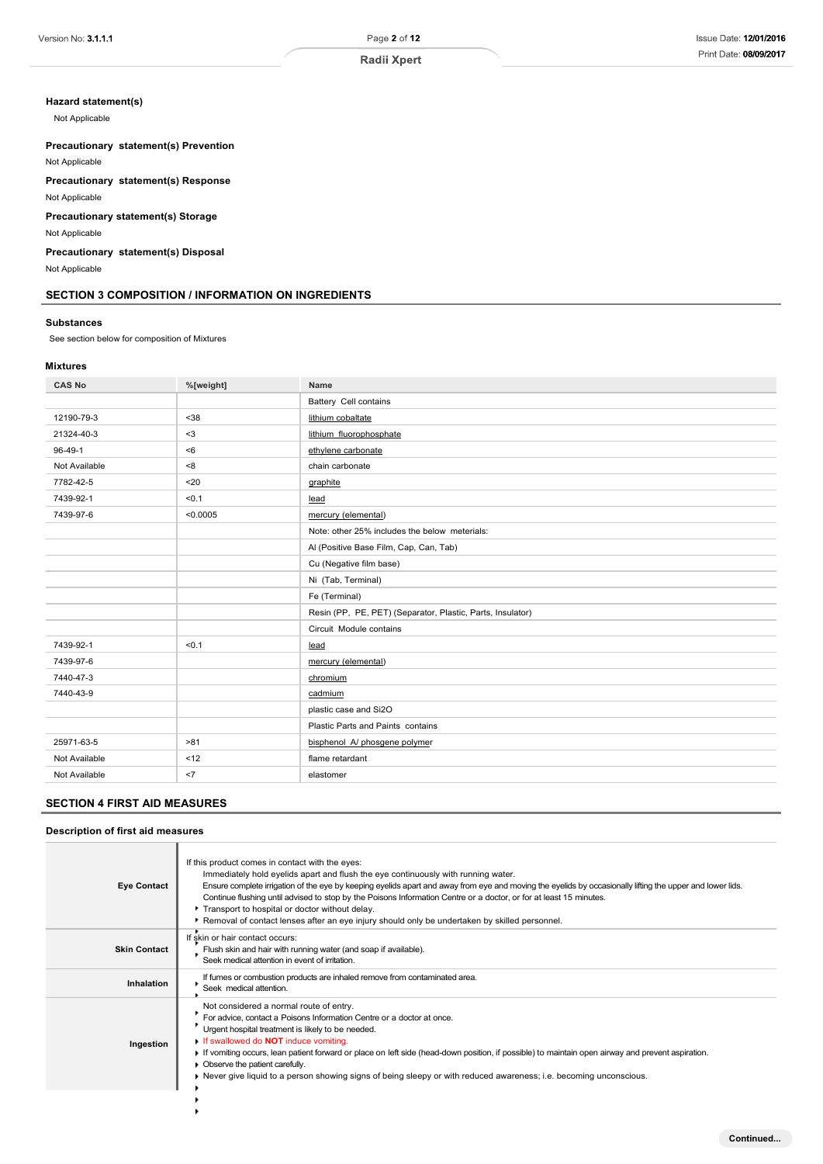**Continued...** 

## **Hazard statement(s)**

Not Applicable

**Precautionary statement(s) Prevention** Not Applicable

**Precautionary statement(s) Response**

Not Applicable

**Precautionary statement(s) Storage**

Not Applicable

**Precautionary statement(s) Disposal**

Not Applicable

## **SECTION 3 COMPOSITION / INFORMATION ON INGREDIENTS**

## **Substances**

See section below for composition of Mixtures

**Mixtures**

| <b>CAS No</b> | %[weight] | Name                                                       |
|---------------|-----------|------------------------------------------------------------|
|               |           | Battery Cell contains                                      |
| 12190-79-3    | $38$      | lithium cobaltate                                          |
| 21324-40-3    | $3$       | lithium fluorophosphate                                    |
| $96 - 49 - 1$ | <6        | ethylene carbonate                                         |
| Not Available | <8        | chain carbonate                                            |
| 7782-42-5     | $20$      | graphite                                                   |
| 7439-92-1     | < 0.1     | lead                                                       |
| 7439-97-6     | < 0.0005  | mercury (elemental)                                        |
|               |           | Note: other 25% includes the below meterials:              |
|               |           | Al (Positive Base Film, Cap, Can, Tab)                     |
|               |           | Cu (Negative film base)                                    |
|               |           | Ni (Tab, Terminal)                                         |
|               |           | Fe (Terminal)                                              |
|               |           | Resin (PP, PE, PET) (Separator, Plastic, Parts, Insulator) |
|               |           | Circuit Module contains                                    |
| 7439-92-1     | < 0.1     | lead                                                       |
| 7439-97-6     |           | mercury (elemental)                                        |
| 7440-47-3     |           | chromium                                                   |
| 7440-43-9     |           | cadmium                                                    |
|               |           | plastic case and Si2O                                      |
|               |           | Plastic Parts and Paints contains                          |
| 25971-63-5    | >81       | bisphenol A/ phosgene polymer                              |
| Not Available | < 12      | flame retardant                                            |
| Not Available | <7        | elastomer                                                  |
|               |           |                                                            |

## **SECTION 4 FIRST AID MEASURES**

## **Description of first aid measures**

| <b>Eye Contact</b>  | If this product comes in contact with the eyes:<br>Immediately hold eyelids apart and flush the eye continuously with running water.<br>Ensure complete irrigation of the eye by keeping eyelids apart and away from eye and moving the eyelids by occasionally lifting the upper and lower lids.<br>Continue flushing until advised to stop by the Poisons Information Centre or a doctor, or for at least 15 minutes.<br>Transport to hospital or doctor without delay.<br>Removal of contact lenses after an eye injury should only be undertaken by skilled personnel. |
|---------------------|----------------------------------------------------------------------------------------------------------------------------------------------------------------------------------------------------------------------------------------------------------------------------------------------------------------------------------------------------------------------------------------------------------------------------------------------------------------------------------------------------------------------------------------------------------------------------|
| <b>Skin Contact</b> | If skin or hair contact occurs:<br>Flush skin and hair with running water (and soap if available).<br>Seek medical attention in event of irritation.                                                                                                                                                                                                                                                                                                                                                                                                                       |
| Inhalation          | If fumes or combustion products are inhaled remove from contaminated area.<br>Seek medical attention.                                                                                                                                                                                                                                                                                                                                                                                                                                                                      |
| Ingestion           | Not considered a normal route of entry.<br>For advice, contact a Poisons Information Centre or a doctor at once.<br>Urgent hospital treatment is likely to be needed.<br>I If swallowed do NOT induce vomiting.<br>► If vomiting occurs, lean patient forward or place on left side (head-down position, if possible) to maintain open airway and prevent aspiration.<br>Observe the patient carefully.<br>▶ Never give liquid to a person showing signs of being sleepy or with reduced awareness; i.e. becoming unconscious.                                             |
|                     |                                                                                                                                                                                                                                                                                                                                                                                                                                                                                                                                                                            |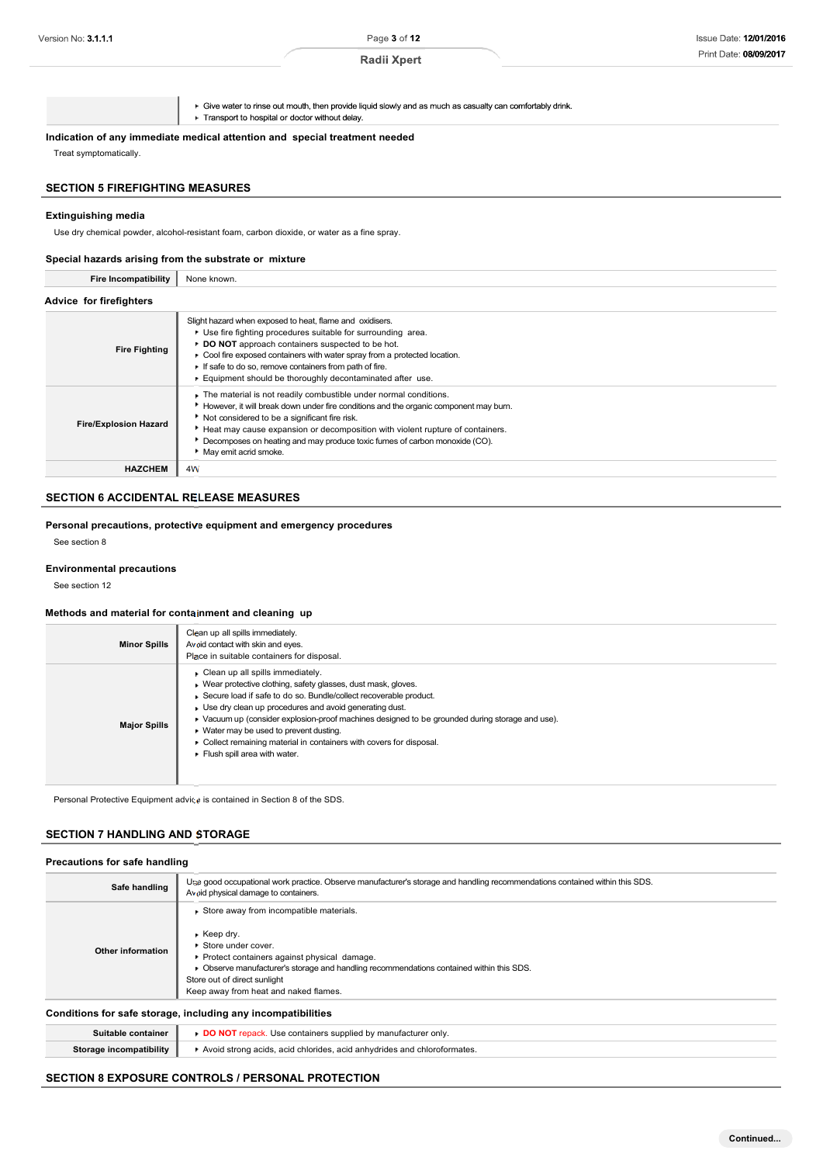Page 3 of 12

Give water to rinse out mouth, then provide liquid slowly and as much as casualty can comfortably drink.

► Transport to hospital or doctor without delay.

**Indication of any immediate medical attention and special treatment needed**

Treat symptomatically.

## **SECTION 5 FIREFIGHTING MEASURES**

#### **Extinguishing media**

Use dry chemical powder, alcohol-resistant foam, carbon dioxide, or water as a fine spray.

## **Special hazards arising from the substrate or mixture**

| <b>Fire Incompatibility</b>  | None known.                                                                                                                                                                                                                                                                                                                                                                                        |
|------------------------------|----------------------------------------------------------------------------------------------------------------------------------------------------------------------------------------------------------------------------------------------------------------------------------------------------------------------------------------------------------------------------------------------------|
| Advice for firefighters      |                                                                                                                                                                                                                                                                                                                                                                                                    |
| <b>Fire Fighting</b>         | Slight hazard when exposed to heat, flame and oxidisers.<br>• Use fire fighting procedures suitable for surrounding area.<br>DO NOT approach containers suspected to be hot.<br>• Cool fire exposed containers with water spray from a protected location.<br>If safe to do so, remove containers from path of fire.<br>Equipment should be thoroughly decontaminated after use.                   |
| <b>Fire/Explosion Hazard</b> | The material is not readily combustible under normal conditions.<br>However, it will break down under fire conditions and the organic component may burn.<br>Not considered to be a significant fire risk.<br>Heat may cause expansion or decomposition with violent rupture of containers.<br>Decomposes on heating and may produce toxic fumes of carbon monoxide (CO).<br>May emit acrid smoke. |
| <b>HAZCHEM</b>               | 4W                                                                                                                                                                                                                                                                                                                                                                                                 |

## **SECTION 6 ACCIDENTAL RELEASE MEASURES**

## **Personal precautions, protective equipment and emergency procedures**

See section 8

#### **Environmental precautions**

See section 12

## **Methods and material for containment and cleaning up**

| <b>Minor Spills</b> | Clean up all spills immediately.<br>Avoid contact with skin and eyes.<br>Place in suitable containers for disposal.                                                                                                                                                                                                                                                                                                                                                                           |
|---------------------|-----------------------------------------------------------------------------------------------------------------------------------------------------------------------------------------------------------------------------------------------------------------------------------------------------------------------------------------------------------------------------------------------------------------------------------------------------------------------------------------------|
| <b>Major Spills</b> | • Clean up all spills immediately.<br>▶ Wear protective clothing, safety glasses, dust mask, gloves.<br>▶ Secure load if safe to do so. Bundle/collect recoverable product.<br>• Use dry clean up procedures and avoid generating dust.<br>▶ Vacuum up (consider explosion-proof machines designed to be grounded during storage and use).<br>▶ Water may be used to prevent dusting.<br>• Collect remaining material in containers with covers for disposal.<br>Flush spill area with water. |

Personal Protective Equipment advice is contained in Section 8 of the SDS.

## **SECTION 7 HANDLING AND STORAGE**

#### **Precautions for safe handling**

| Use good occupational work practice. Observe manufacturer's storage and handling recommendations contained within this SDS.<br>Safe handling<br>Avoid physical damage to containers. |                                                                                                                                                                                                                                                                                                        |
|--------------------------------------------------------------------------------------------------------------------------------------------------------------------------------------|--------------------------------------------------------------------------------------------------------------------------------------------------------------------------------------------------------------------------------------------------------------------------------------------------------|
| Other information                                                                                                                                                                    | Store away from incompatible materials.<br>$\star$ Keep dry.<br>▶ Store under cover.<br>Protect containers against physical damage.<br>Observe manufacturer's storage and handling recommendations contained within this SDS.<br>Store out of direct sunlight<br>Keep away from heat and naked flames. |
|                                                                                                                                                                                      | Conditions for safe storage, including any incompatibilities                                                                                                                                                                                                                                           |
| Suitable container                                                                                                                                                                   | DO NOT repack. Use containers supplied by manufacturer only.                                                                                                                                                                                                                                           |

**Storage incompatibility Avoid strong acids, acid chlorides, acid anhydrides and chloroformates.** 

## **SECTION 8 EXPOSURE CONTROLS / PERSONAL PROTECTION**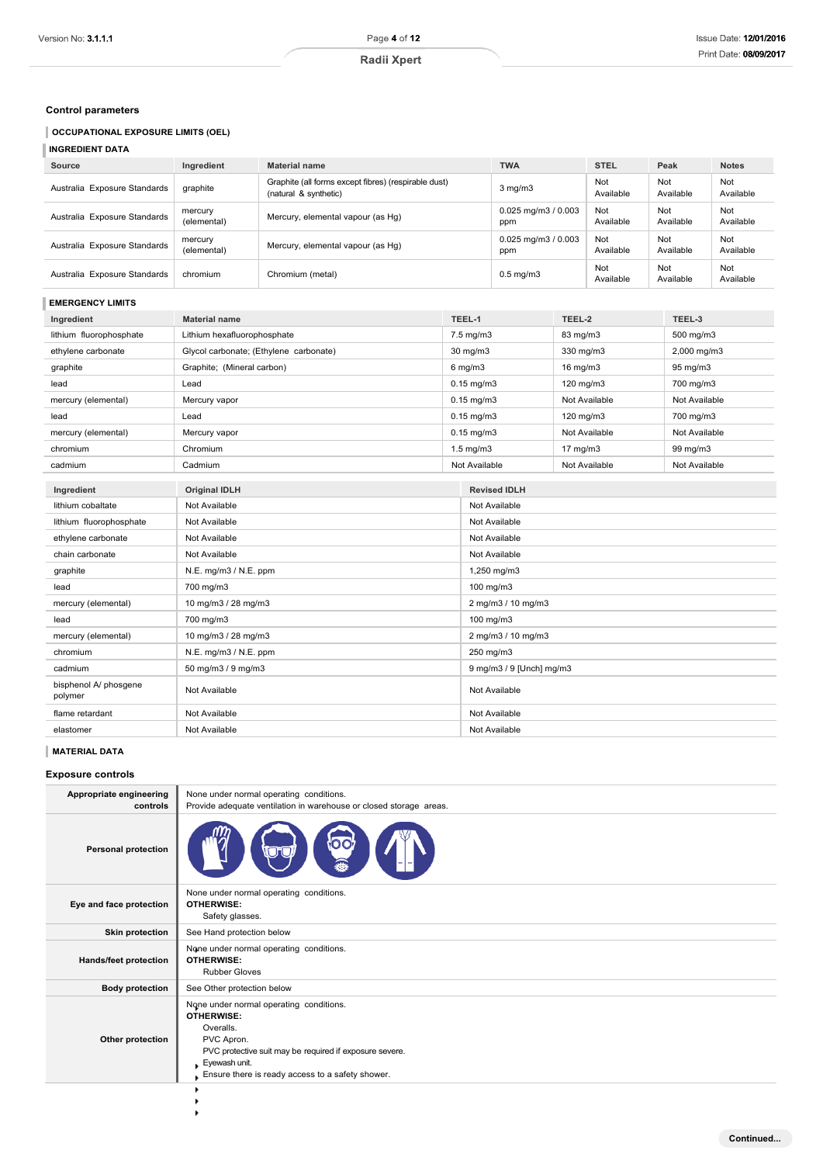**Continued...** 

## **Control parameters**

**OCCUPATIONAL EXPOSURE LIMITS (OEL)**

| <b>INGREDIENT DATA</b> |                              |                        |                                                                               |                               |                  |                  |                  |
|------------------------|------------------------------|------------------------|-------------------------------------------------------------------------------|-------------------------------|------------------|------------------|------------------|
|                        | Source                       | Ingredient             | <b>Material name</b>                                                          | <b>TWA</b>                    | <b>STEL</b>      | Peak             | <b>Notes</b>     |
|                        | Australia Exposure Standards | graphite               | Graphite (all forms except fibres) (respirable dust)<br>(natural & synthetic) | $3$ mg/m $3$                  | Not<br>Available | Not<br>Available | Not<br>Available |
|                        | Australia Exposure Standards | mercury<br>(elemental) | Mercury, elemental vapour (as Hg)                                             | $0.025$ mg/m $3/0.003$<br>ppm | Not<br>Available | Not<br>Available | Not<br>Available |
|                        | Australia Exposure Standards | mercury<br>(elemental) | Mercury, elemental vapour (as Hg)                                             | $0.025$ mg/m $3/0.003$<br>ppm | Not<br>Available | Not<br>Available | Not<br>Available |
|                        | Australia Exposure Standards | chromium               | Chromium (metal)                                                              | $0.5$ mg/m $3$                | Not<br>Available | Not<br>Available | Not<br>Available |

# **EMERGENCY LIMITS**

| Ingredient                       | <b>Material name</b>                                             |  | TEEL-1                   | TEEL-2            | TEEL-3        |  |
|----------------------------------|------------------------------------------------------------------|--|--------------------------|-------------------|---------------|--|
| lithium fluorophosphate          | Lithium hexafluorophosphate                                      |  | 7.5 mg/m3                | 83 mg/m3          | 500 mg/m3     |  |
| ethylene carbonate               | Glycol carbonate; (Ethylene carbonate)                           |  | 30 mg/m3                 | 330 mg/m3         | 2,000 mg/m3   |  |
| graphite                         | Graphite; (Mineral carbon)                                       |  | $6$ mg/m $3$             | $16$ mg/m $3$     | 95 mg/m3      |  |
| lead                             | Lead                                                             |  | $0.15$ mg/m $3$          | 120 mg/m3         | 700 mg/m3     |  |
| mercury (elemental)              | Mercury vapor                                                    |  | $0.15$ mg/m $3$          | Not Available     | Not Available |  |
| lead                             | Lead                                                             |  | $0.15$ mg/m $3$          | 120 mg/m3         | 700 mg/m3     |  |
| mercury (elemental)              | Mercury vapor                                                    |  | $0.15$ mg/m $3$          | Not Available     | Not Available |  |
| chromium                         | Chromium                                                         |  | $1.5 \text{ mg/m}$       | $17 \text{ mg/m}$ | 99 mg/m3      |  |
| cadmium                          | Cadmium                                                          |  | Not Available            | Not Available     | Not Available |  |
|                                  |                                                                  |  |                          |                   |               |  |
| Ingredient                       | <b>Original IDLH</b>                                             |  | <b>Revised IDLH</b>      |                   |               |  |
| lithium cobaltate                | Not Available                                                    |  | Not Available            |                   |               |  |
| lithium fluorophosphate          | Not Available                                                    |  | Not Available            |                   |               |  |
| ethylene carbonate               | Not Available                                                    |  | Not Available            |                   |               |  |
| chain carbonate                  | Not Available                                                    |  | Not Available            |                   |               |  |
| graphite                         | N.E. mg/m3 / N.E. ppm                                            |  | 1,250 mg/m3              |                   |               |  |
| lead                             | 700 mg/m3                                                        |  | 100 mg/m3                |                   |               |  |
| mercury (elemental)              | 10 mg/m3 / 28 mg/m3                                              |  | 2 mg/m3 / 10 mg/m3       |                   |               |  |
| lead                             | 700 mg/m3                                                        |  | 100 mg/m3                |                   |               |  |
| mercury (elemental)              | 10 mg/m3 / 28 mg/m3                                              |  | 2 mg/m3 / 10 mg/m3       |                   |               |  |
| chromium                         | N.E. mg/m3 / N.E. ppm                                            |  | 250 mg/m3                |                   |               |  |
| cadmium                          | 50 mg/m3 / 9 mg/m3                                               |  | 9 mg/m3 / 9 [Unch] mg/m3 |                   |               |  |
| bisphenol A/ phosgene<br>polymer | Not Available<br>Not Available<br>Not Available<br>Not Available |  |                          |                   |               |  |
| flame retardant                  |                                                                  |  |                          |                   |               |  |
| elastomer                        | Not Available                                                    |  | Not Available            |                   |               |  |

## **MATERIAL DATA**

**Exposure controls**

| Appropriate engineering<br>controls | None under normal operating conditions.<br>Provide adequate ventilation in warehouse or closed storage areas.                                                                                                           |
|-------------------------------------|-------------------------------------------------------------------------------------------------------------------------------------------------------------------------------------------------------------------------|
| <b>Personal protection</b>          | 00                                                                                                                                                                                                                      |
| Eye and face protection             | None under normal operating conditions.<br><b>OTHERWISE:</b><br>Safety glasses.                                                                                                                                         |
| <b>Skin protection</b>              | See Hand protection below                                                                                                                                                                                               |
| Hands/feet protection               | None under normal operating conditions.<br><b>OTHERWISE:</b><br><b>Rubber Gloves</b>                                                                                                                                    |
| <b>Body protection</b>              | See Other protection below                                                                                                                                                                                              |
| Other protection                    | None under normal operating conditions.<br><b>OTHERWISE:</b><br>Overalls.<br>PVC Apron.<br>PVC protective suit may be required if exposure severe.<br>Eyewash unit.<br>Ensure there is ready access to a safety shower. |
|                                     |                                                                                                                                                                                                                         |
|                                     |                                                                                                                                                                                                                         |
|                                     |                                                                                                                                                                                                                         |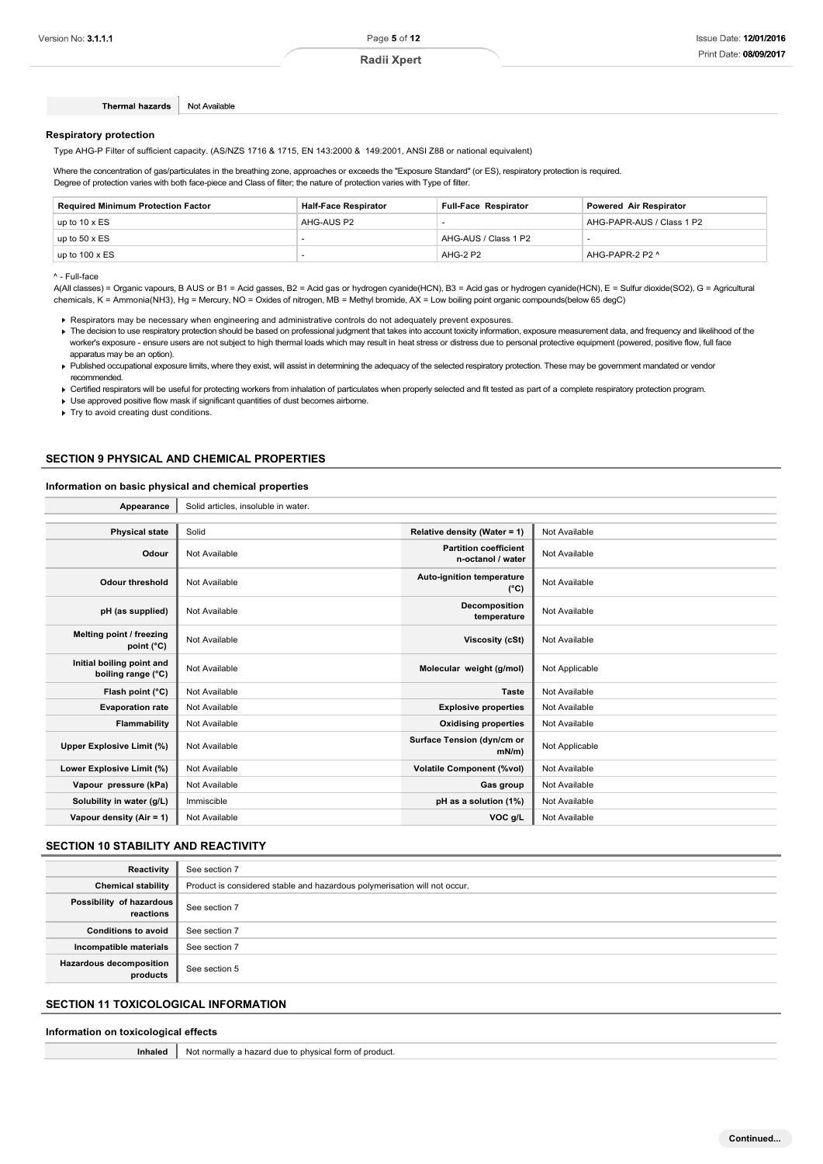## **Respiratory protection**

**Thermal hazards** 

Type AHG-P Filter of sufficient capacity. (AS/NZS 1716 & 1715, EN 143:2000 & 149:2001, ANSI Z88 or national equivalent)

Where the concentration of gas/particulates in the breathing zone, approaches or exceeds the "Exposure Standard" (or ES), respiratory protection is required. Degree of protection varies with both face-piece and Class of filter; the nature of protection varies with Type of filter.

| <b>Required Minimum Protection Factor</b> | <b>Half-Face Respirator</b> | <b>Full-Face Respirator</b> | <b>Powered Air Respirator</b> |
|-------------------------------------------|-----------------------------|-----------------------------|-------------------------------|
| up to 10 x ES                             | AHG-AUS P2                  |                             | AHG-PAPR-AUS / Class 1 P2     |
| up to $50 \times ES$                      |                             | AHG-AUS / Class 1 P2        |                               |
| up to $100 \times ES$                     |                             | AHG-2 P2                    | AHG-PAPR-2 P2 ^               |

## ^ - Full-face

A(All classes) = Organic vapours, B AUS or B1 = Acid gasses, B2 = Acid gas or hydrogen cyanide(HCN), B3 = Acid gas or hydrogen cyanide(HCN), E = Sulfur dioxide(SO2), G = Agricultural chemicals, K = Ammonia(NH3), Hg = Mercury, NO = Oxides of nitrogen, MB = Methyl bromide, AX = Low boiling point organic compounds(below 65 degC)

Respirators may be necessary when engineering and administrative controls do not adequately prevent exposures.

- F The decision to use respiratory protection should be based on professional judgment that takes into account toxicity information, exposure measurement data, and frequency and likelihood of the worker's exposure - ensure users are not subject to high thermal loads which may result in heat stress or distress due to personal protective equipment (powered, positive flow, full face apparatus may be an option).
- Published occupational exposure limits, where they exist, will assist in determining the adequacy of the selected respiratory protection. These may be government mandated or vendor recommended.

Certified respirators will be useful for protecting workers from inhalation of particulates when properly selected and fit tested as part of a complete respiratory protection program.

Use approved positive flow mask if significant quantities of dust becomes airborne.

Not Available

**Appearance** Solid articles, insoluble in water.

Try to avoid creating dust conditions.

#### **SECTION 9 PHYSICAL AND CHEMICAL PROPERTIES**

## **Information on basic physical and chemical properties**

| <b>Physical state</b>                           | Solid         | Relative density (Water = 1)                      | Not Available  |
|-------------------------------------------------|---------------|---------------------------------------------------|----------------|
| Odour                                           | Not Available | <b>Partition coefficient</b><br>n-octanol / water | Not Available  |
| <b>Odour threshold</b>                          | Not Available | Auto-ignition temperature<br>$(^{\circ}C)$        | Not Available  |
| pH (as supplied)                                | Not Available | Decomposition<br>temperature                      | Not Available  |
| Melting point / freezing<br>point $(^{\circ}C)$ | Not Available | Viscosity (cSt)                                   | Not Available  |
| Initial boiling point and<br>boiling range (°C) | Not Available | Molecular weight (g/mol)                          | Not Applicable |
| Flash point (°C)                                | Not Available | <b>Taste</b>                                      | Not Available  |
| <b>Evaporation rate</b>                         | Not Available | <b>Explosive properties</b>                       | Not Available  |
| <b>Flammability</b>                             | Not Available | <b>Oxidising properties</b>                       | Not Available  |
| <b>Upper Explosive Limit (%)</b>                | Not Available | Surface Tension (dyn/cm or<br>$mN/m$ )            | Not Applicable |
| Lower Explosive Limit (%)                       | Not Available | <b>Volatile Component (%vol)</b>                  | Not Available  |
| Vapour pressure (kPa)                           | Not Available | Gas group                                         | Not Available  |
| Solubility in water (g/L)                       | Immiscible    | pH as a solution (1%)                             | Not Available  |
| Vapour density (Air = 1)                        | Not Available | VOC g/L                                           | Not Available  |

## **SECTION 10 STABILITY AND REACTIVITY**

| Reactivity                                 | See section 7                                                             |
|--------------------------------------------|---------------------------------------------------------------------------|
| <b>Chemical stability</b>                  | Product is considered stable and hazardous polymerisation will not occur. |
| Possibility of hazardous<br>reactions      | See section 7                                                             |
| <b>Conditions to avoid</b>                 | See section 7                                                             |
| Incompatible materials                     | See section 7                                                             |
| <b>Hazardous decomposition</b><br>products | See section 5                                                             |

## **SECTION 11 TOXICOLOGICAL INFORMATION**

#### **Information on toxicological effects**

**Inhaled** Not normally a hazard due to physical form of product.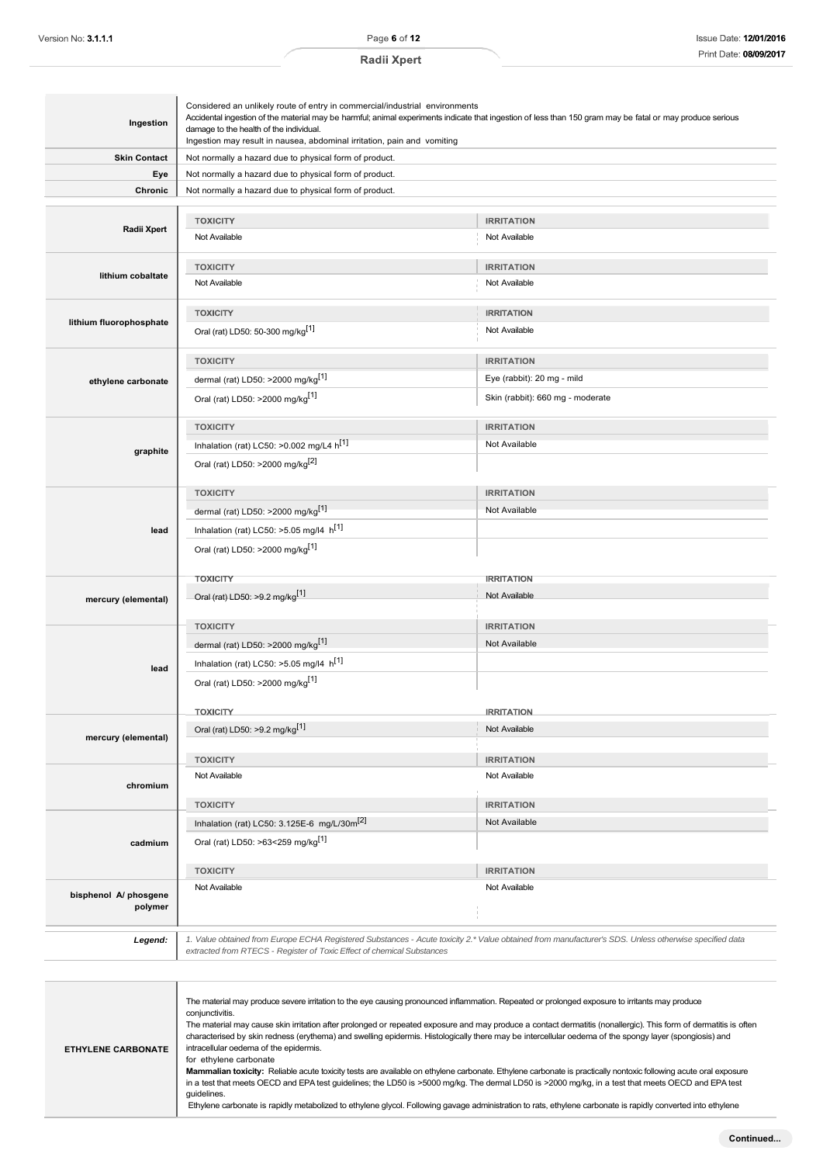| Ingestion                        | Considered an unlikely route of entry in commercial/industrial environments<br>damage to the health of the individual.<br>Ingestion may result in nausea, abdominal irritation, pain and vomiting | Accidental ingestion of the material may be harmful; animal experiments indicate that ingestion of less than 150 gram may be fatal or may produce serious |
|----------------------------------|---------------------------------------------------------------------------------------------------------------------------------------------------------------------------------------------------|-----------------------------------------------------------------------------------------------------------------------------------------------------------|
| <b>Skin Contact</b>              | Not normally a hazard due to physical form of product.                                                                                                                                            |                                                                                                                                                           |
| Eye                              | Not normally a hazard due to physical form of product.                                                                                                                                            |                                                                                                                                                           |
| Chronic                          | Not normally a hazard due to physical form of product.                                                                                                                                            |                                                                                                                                                           |
|                                  | <b>TOXICITY</b>                                                                                                                                                                                   | <b>IRRITATION</b>                                                                                                                                         |
| Radii Xpert                      | Not Available                                                                                                                                                                                     | Not Available                                                                                                                                             |
|                                  | <b>TOXICITY</b>                                                                                                                                                                                   | <b>IRRITATION</b>                                                                                                                                         |
| lithium cobaltate                | Not Available                                                                                                                                                                                     | Not Available                                                                                                                                             |
|                                  | <b>TOXICITY</b>                                                                                                                                                                                   | <b>IRRITATION</b>                                                                                                                                         |
| lithium fluorophosphate          | Oral (rat) LD50: 50-300 mg/kg <sup>[1]</sup>                                                                                                                                                      | Not Available                                                                                                                                             |
|                                  | <b>TOXICITY</b>                                                                                                                                                                                   | <b>IRRITATION</b>                                                                                                                                         |
| ethylene carbonate               | dermal (rat) LD50: >2000 mg/kg <sup>[1]</sup>                                                                                                                                                     | Eye (rabbit): 20 mg - mild                                                                                                                                |
|                                  | Oral (rat) LD50: >2000 mg/kg <sup>[1]</sup>                                                                                                                                                       | Skin (rabbit): 660 mg - moderate                                                                                                                          |
|                                  | <b>TOXICITY</b>                                                                                                                                                                                   | <b>IRRITATION</b>                                                                                                                                         |
| graphite                         | Inhalation (rat) LC50: >0.002 mg/L4 h <sup>[1]</sup>                                                                                                                                              | Not Available                                                                                                                                             |
|                                  | Oral (rat) LD50: >2000 mg/kg <sup>[2]</sup>                                                                                                                                                       |                                                                                                                                                           |
|                                  | <b>TOXICITY</b>                                                                                                                                                                                   | <b>IRRITATION</b>                                                                                                                                         |
|                                  | dermal (rat) LD50: >2000 mg/kg <sup>[1]</sup>                                                                                                                                                     | Not Available                                                                                                                                             |
| lead                             | Inhalation (rat) LC50: >5.05 mg/l4 $h^{[1]}$                                                                                                                                                      |                                                                                                                                                           |
|                                  | Oral (rat) LD50: >2000 mg/kg <sup>[1]</sup>                                                                                                                                                       |                                                                                                                                                           |
|                                  | <b>TOXICITY</b>                                                                                                                                                                                   | <b>IRRITATION</b>                                                                                                                                         |
| mercury (elemental)              | Oral (rat) LD50: >9.2 mg/kg <sup>[1]</sup>                                                                                                                                                        | Not Available                                                                                                                                             |
|                                  | <b>TOXICITY</b>                                                                                                                                                                                   | <b>IRRITATION</b>                                                                                                                                         |
|                                  | dermal (rat) LD50: >2000 mg/kg <sup>[1]</sup>                                                                                                                                                     | Not Available                                                                                                                                             |
| lead                             | Inhalation (rat) LC50: >5.05 mg/l4 h[1]                                                                                                                                                           |                                                                                                                                                           |
|                                  | Oral (rat) LD50: >2000 mg/kg <sup>[1]</sup>                                                                                                                                                       |                                                                                                                                                           |
|                                  | <b>TOXICITY</b>                                                                                                                                                                                   | <b>IRRITATION</b>                                                                                                                                         |
| mercury (elemental)              | Oral (rat) LD50: >9.2 mg/kg <sup>[1]</sup>                                                                                                                                                        | Not Available                                                                                                                                             |
|                                  | <b>TOXICITY</b>                                                                                                                                                                                   | <b>IRRITATION</b>                                                                                                                                         |
| chromium                         | Not Available                                                                                                                                                                                     | Not Available                                                                                                                                             |
|                                  | <b>TOXICITY</b>                                                                                                                                                                                   | <b>IRRITATION</b>                                                                                                                                         |
|                                  | Inhalation (rat) LC50: 3.125E-6 mg/L/30m <sup>[2]</sup>                                                                                                                                           | Not Available                                                                                                                                             |
| cadmium                          | Oral (rat) LD50: >63<259 mg/kg <sup>[1]</sup>                                                                                                                                                     |                                                                                                                                                           |
|                                  | <b>TOXICITY</b>                                                                                                                                                                                   | <b>IRRITATION</b>                                                                                                                                         |
| bisphenol A/ phosgene<br>polymer | Not Available                                                                                                                                                                                     | Not Available                                                                                                                                             |
| Legend:                          | extracted from RTECS - Register of Toxic Effect of chemical Substances                                                                                                                            | 1. Value obtained from Europe ECHA Registered Substances - Acute toxicity 2.* Value obtained from manufacturer's SDS. Unless otherwise specified data     |

| <b>ETHYLENE CARBONATE</b> | The material may produce severe irritation to the eye causing pronounced inflammation. Repeated or prolonged exposure to irritants may produce<br>conjunctivitis.<br>The material may cause skin irritation after prolonged or repeated exposure and may produce a contact dermatitis (nonallergic). This form of dermatitis is often<br>characterised by skin redness (erythema) and swelling epidermis. Histologically there may be intercellular oedema of the spongy layer (spongiosis) and<br>intracellular oedema of the epidermis.<br>for ethylene carbonate<br>Mammalian toxicity: Reliable acute toxicity tests are available on ethylene carbonate. Ethylene carbonate is practically nontoxic following acute oral exposure<br>in a test that meets OECD and EPA test quidelines; the LD50 is >5000 mg/kg. The dermal LD50 is >2000 mg/kg, in a test that meets OECD and EPA test<br>quidelines.<br>Ethylene carbonate is rapidly metabolized to ethylene glycol. Following gavage administration to rats, ethylene carbonate is rapidly converted into ethylene |
|---------------------------|-----------------------------------------------------------------------------------------------------------------------------------------------------------------------------------------------------------------------------------------------------------------------------------------------------------------------------------------------------------------------------------------------------------------------------------------------------------------------------------------------------------------------------------------------------------------------------------------------------------------------------------------------------------------------------------------------------------------------------------------------------------------------------------------------------------------------------------------------------------------------------------------------------------------------------------------------------------------------------------------------------------------------------------------------------------------------------|
|---------------------------|-----------------------------------------------------------------------------------------------------------------------------------------------------------------------------------------------------------------------------------------------------------------------------------------------------------------------------------------------------------------------------------------------------------------------------------------------------------------------------------------------------------------------------------------------------------------------------------------------------------------------------------------------------------------------------------------------------------------------------------------------------------------------------------------------------------------------------------------------------------------------------------------------------------------------------------------------------------------------------------------------------------------------------------------------------------------------------|

Ï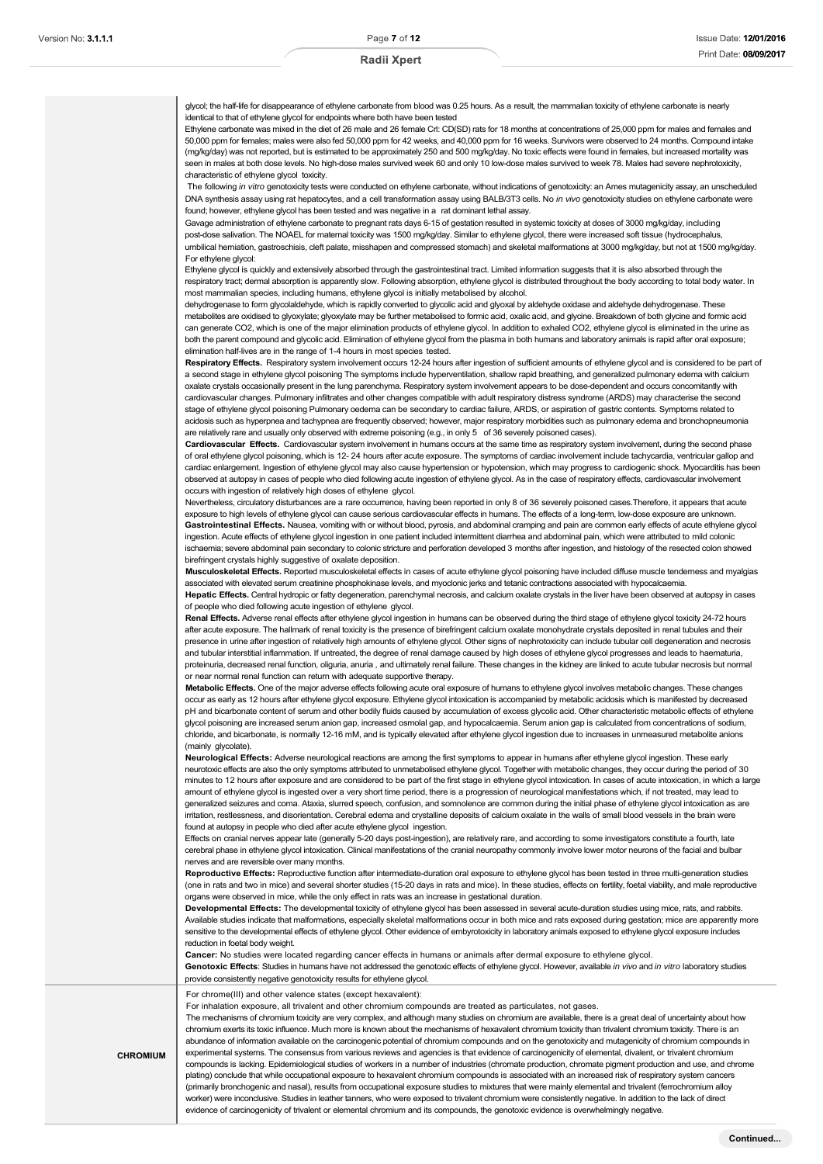glycol; the half-life for disappearance of ethylene carbonate from blood was 0.25 hours. As a result, the mammalian toxicity of ethylene carbonate is nearly identical to that of ethylene glycol for endpoints where both have been tested Ethylene carbonate was mixed in the diet of 26 male and 26 female Crl: CD(SD) rats for 18 months at concentrations of 25,000 ppm for males and females and

50,000 ppm for females; males were also fed 50,000 ppm for 42 weeks, and 40,000 ppm for 16 weeks. Survivors were observed to 24 months. Compound intake (mg/kg/day) was not reported, but is estimated to be approximately 250 and 500 mg/kg/day. No toxic effects were found in females, but increased mortality was seen in males at both dose levels. No high-dose males survived week 60 and only 10 low-dose males survived to week 78. Males had severe nephrotoxicity, characteristic of ethylene glycol toxicity.

The following *in vitro* genotoxicity tests were conducted on ethylene carbonate, without indications of genotoxicity: an Ames mutagenicity assay, an unscheduled DNA synthesis assay using rat hepatocytes, and a cell transformation assay using BALB/3T3 cells. No *in vivo* genotoxicity studies on ethylene carbonate were found; however, ethylene glycol has been tested and was negative in a rat dominant lethal assay.

Gavage administration of ethylene carbonate to pregnant rats days 6-15 of gestation resulted in systemic toxicity at doses of 3000 mg/kg/day, including post-dose salivation. The NOAEL for maternal toxicity was 1500 mg/kg/day. Similar to ethylene glycol, there were increased soft tissue (hydrocephalus, umbilical herniation, gastroschisis, cleft palate, misshapen and compressed stomach) and skeletal malformations at 3000 mg/kg/day, but not at 1500 mg/kg/day. For ethylene glycol:

Ethylene glycol is quickly and extensively absorbed through the gastrointestinal tract. Limited information suggests that it is also absorbed through the respiratory tract; dermal absorption is apparently slow. Following absorption, ethylene glycol is distributed throughout the body according to total body water. In most mammalian species, including humans, ethylene glycol is initially metabolised by alcohol.

dehydrogenase to form glycolaldehyde, which is rapidly converted to glycolic acid and glyoxal by aldehyde oxidase and aldehyde dehydrogenase. These metabolites are oxidised to glyoxylate; glyoxylate may be further metabolised to formic acid, oxalic acid, and glycine. Breakdown of both glycine and formic acid can generate CO2, which is one of the major elimination products of ethylene glycol. In addition to exhaled CO2, ethylene glycol is eliminated in the urine as both the parent compound and glycolic acid. Elimination of ethylene glycol from the plasma in both humans and laboratory animals is rapid after oral exposure; elimination half-lives are in the range of 1-4 hours in most species tested.

Respiratory Effects. Respiratory system involvement occurs 12-24 hours after ingestion of sufficient amounts of ethylene glycol and is considered to be part of a second stage in ethylene glycol poisoning The symptoms include hyperventilation, shallow rapid breathing, and generalized pulmonary edema with calcium oxalate crystals occasionally present in the lung parenchyma. Respiratory system involvement appears to be dose-dependent and occurs concomitantly with cardiovascular changes. Pulmonary infiltrates and other changes compatible with adult respiratory distress syndrome (ARDS) may characterise the second stage of ethylene glycol poisoning Pulmonary oedema can be secondary to cardiac failure, ARDS, or aspiration of gastric contents. Symptoms related to acidosis such as hyperpnea and tachypnea are frequently observed; however, major respiratory morbidities such as pulmonary edema and bronchopneumonia

are relatively rare and usually only observed with extreme poisoning (e.g., in only 5 of 36 severely poisoned cases). **Cardiovascular Effects.** Cardiovascular system involvement in humans occurs at the same time as respiratory system involvement, during the second phase of oral ethylene glycol poisoning, which is 12- 24 hours after acute exposure. The symptoms of cardiac involvement include tachycardia, ventricular gallop and cardiac enlargement. Ingestion of ethylene glycol may also cause hypertension or hypotension, which may progress to cardiogenic shock. Myocarditis has been observed at autopsy in cases of people who died following acute ingestion of ethylene glycol. As in the case of respiratory effects, cardiovascular involvement occurs with ingestion of relatively high doses of ethylene glycol.

Nevertheless, circulatory disturbances are a rare occurrence, having been reported in only 8 of 36 severely poisoned cases.Therefore, it appears that acute exposure to high levels of ethylene glycol can cause serious cardiovascular effects in humans. The effects of a long-term, low-dose exposure are unknown **Gastrointestinal Effects.** Nausea, vomiting with or without blood, pyrosis, and abdominal cramping and pain are common early effects of acute ethylene glycol ingestion. Acute effects of ethylene glycol ingestion in one patient included intermittent diarrhea and abdominal pain, which were attributed to mild colonic ischaemia; severe abdominal pain secondary to colonic stricture and perforation developed 3 months after ingestion, and histology of the resected colon showed birefringent crystals highly suggestive of oxalate deposition.

**Musculoskeletal Effects.** Reported musculoskeletal effects in cases of acute ethylene glycol poisoning have included diffuse muscle tenderness and myalgias associated with elevated serum creatinine phosphokinase levels, and myoclonic jerks and tetanic contractions associated with hypocalcaemia. **Hepatic Effects.** Central hydropic or fatty degeneration, parenchymal necrosis, and calcium oxalate crystals in the liver have been observed at autopsy in cases of people who died following acute ingestion of ethylene glycol.

**Renal Effects.** Adverse renal effects after ethylene glycol ingestion in humans can be observed during the third stage of ethylene glycol toxicity 24-72 hours after acute exposure. The hallmark of renal toxicity is the presence of birefringent calcium oxalate monohydrate crystals deposited in renal tubules and thei presence in urine after ingestion of relatively high amounts of ethylene glycol. Other signs of nephrotoxicity can include tubular cell degeneration and necrosis and tubular interstitial inflammation. If untreated, the degree of renal damage caused by high doses of ethylene glycol progresses and leads to haematuria, proteinuria, decreased renal function, oliguria, anuria , and ultimately renal failure. These changes in the kidney are linked to acute tubular necrosis but normal or near normal renal function can return with adequate supportive therapy.

**Metabolic Effects.** One of the major adverse effects following acute oral exposure of humans to ethylene glycol involves metabolic changes. These changes occur as early as 12 hours after ethylene glycol exposure. Ethylene glycol intoxication is accompanied by metabolic acidosis which is manifested by decreased pH and bicarbonate content of serum and other bodily fluids caused by accumulation of excess glycolic acid. Other characteristic metabolic effects of ethylene glycol poisoning are increased serum anion gap, increased osmolal gap, and hypocalcaemia. Serum anion gap is calculated from concentrations of sodium, chloride, and bicarbonate, is normally 12-16 mM, and is typically elevated after ethylene glycol ingestion due to increases in unmeasured metabolite anions (mainly glycolate).

**Neurological Effects:** Adverse neurological reactions are among the first symptoms to appear in humans after ethylene glycol ingestion. These early neurotoxic effects are also the only symptoms attributed to unmetabolised ethylene glycol. Together with metabolic changes, they occur during the period of 30 minutes to 12 hours after exposure and are considered to be part of the first stage in ethylene glycol intoxication. In cases of acute intoxication, in which a large amount of ethylene glycol is ingested over a very short time period, there is a progression of neurological manifestations which, if not treated, may lead to generalized seizures and coma. Ataxia, slurred speech, confusion, and somnolence are common during the initial phase of ethylene glycol intoxication as are irritation, restlessness, and disorientation. Cerebral edema and crystalline deposits of calcium oxalate in the walls of small blood vessels in the brain were found at autopsy in people who died after acute ethylene glycol ingestion.

Effects on cranial nerves appear late (generally 5-20 days post-ingestion), are relatively rare, and according to some investigators constitute a fourth, late cerebral phase in ethylene glycol intoxication. Clinical manifestations of the cranial neuropathy commonly involve lower motor neurons of the facial and bulbar nerves and are reversible over many months.

**Reproductive Effects:** Reproductive function after intermediate-duration oral exposure to ethylene glycol has been tested in three multi-generation studies (one in rats and two in mice) and several shorter studies (15-20 days in rats and mice). In these studies, effects on fertility, foetal viability, and male reproductive organs were observed in mice, while the only effect in rats was an increase in gestational duration.

**Developmental Effects:** The developmental toxicity of ethylene glycol has been assessed in several acute-duration studies using mice, rats, and rabbits. Available studies indicate that malformations, especially skeletal malformations occur in both mice and rats exposed during gestation; mice are apparently more sensitive to the developmental effects of ethylene glycol. Other evidence of embyrotoxicity in laboratory animals exposed to ethylene glycol exposure includes reduction in foetal body weight.

**Cancer:** No studies were located regarding cancer effects in humans or animals after dermal exposure to ethylene glycol. **Genotoxic Effects**: Studies in humans have not addressed the genotoxic effects of ethylene glycol. However, available *in vivo* and *in vitro* laboratory studies provide consistently negative genotoxicity results for ethylene glycol.

For chrome(III) and other valence states (except hexavalent):

**CHROMIUM**

For inhalation exposure, all trivalent and other chromium compounds are treated as particulates, not gases.

The mechanisms of chromium toxicity are very complex, and although many studies on chromium are available, there is a great deal of uncertainty about how chromium exerts its toxic influence. Much more is known about the mechanisms of hexavalent chromium toxicity than trivalent chromium toxicity. There is an abundance of information available on the carcinogenic potential of chromium compounds and on the genotoxicity and mutagenicity of chromium compounds in experimental systems. The consensus from various reviews and agencies is that evidence of carcinogenicity of elemental, divalent, or trivalent chromium compounds is lacking. Epidemiological studies of workers in a number of industries (chromate production, chromate pigment production and use, and chrome plating) conclude that while occupational exposure to hexavalent chromium compounds is associated with an increased risk of respiratory system cancers (primarily bronchogenic and nasal), results from occupational exposure studies to mixtures that were mainly elemental and trivalent (ferrochromium alloy worker) were inconclusive. Studies in leather tanners, who were exposed to trivalent chromium were consistently negative. In addition to the lack of direct evidence of carcinogenicity of trivalent or elemental chromium and its compounds, the genotoxic evidence is overwhelmingly negative.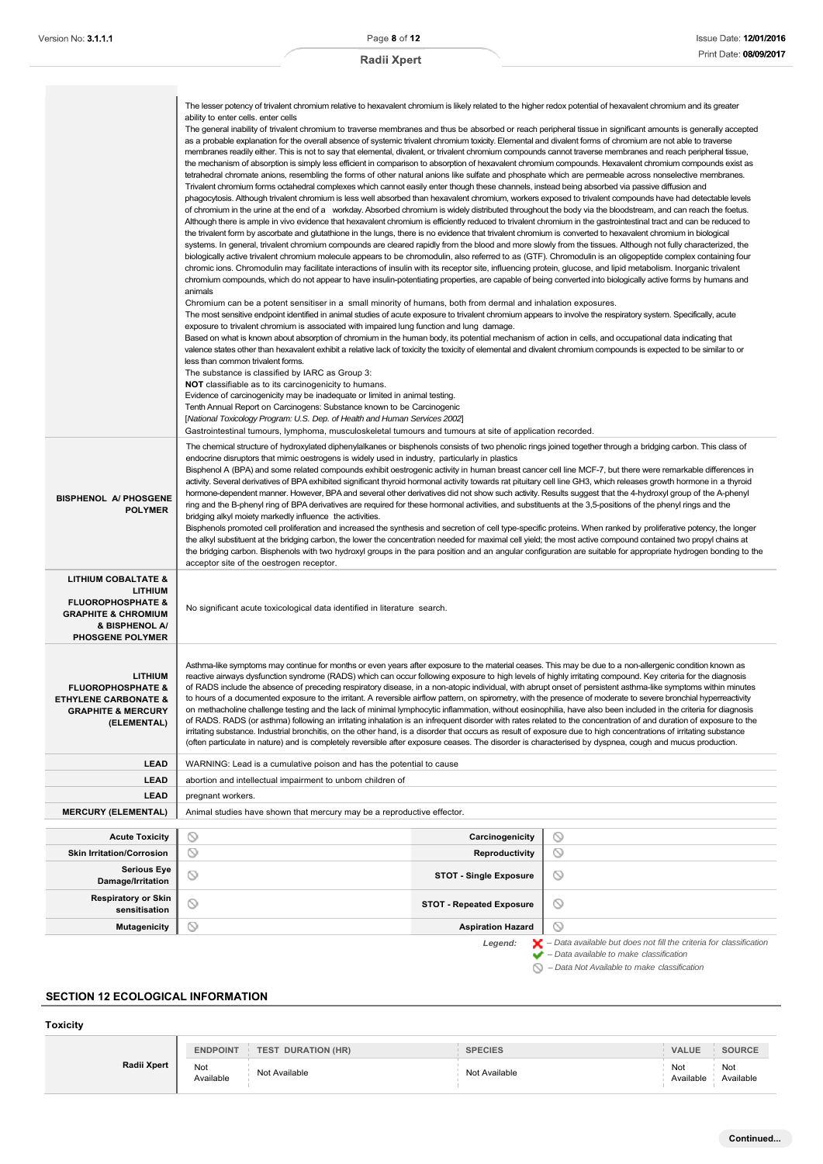|                                                                                                                                                          | The lesser potency of trivalent chromium relative to hexavalent chromium is likely related to the higher redox potential of hexavalent chromium and its greater<br>ability to enter cells, enter cells<br>The general inability of trivalent chromium to traverse membranes and thus be absorbed or reach peripheral tissue in significant amounts is generally accepted<br>as a probable explanation for the overall absence of systemic trivalent chromium toxicity. Elemental and divalent forms of chromium are not able to traverse<br>membranes readily either. This is not to say that elemental, divalent, or trivalent chromium compounds cannot traverse membranes and reach peripheral tissue,<br>the mechanism of absorption is simply less efficient in comparison to absorption of hexavalent chromium compounds. Hexavalent chromium compounds exist as<br>tetrahedral chromate anions, resembling the forms of other natural anions like sulfate and phosphate which are permeable across nonselective membranes.<br>Trivalent chromium forms octahedral complexes which cannot easily enter though these channels, instead being absorbed via passive diffusion and<br>phagocytosis. Although trivalent chromium is less well absorbed than hexavalent chromium, workers exposed to trivalent compounds have had detectable levels<br>of chromium in the urine at the end of a workday. Absorbed chromium is widely distributed throughout the body via the bloodstream, and can reach the foetus.<br>Although there is ample in vivo evidence that hexavalent chromium is efficiently reduced to trivalent chromium in the gastrointestinal tract and can be reduced to<br>the trivalent form by ascorbate and glutathione in the lungs, there is no evidence that trivalent chromium is converted to hexavalent chromium in biological<br>systems. In general, trivalent chromium compounds are cleared rapidly from the blood and more slowly from the tissues. Although not fully characterized, the<br>biologically active trivalent chromium molecule appears to be chromodulin, also referred to as (GTF). Chromodulin is an oligopeptide complex containing four<br>chromic ions. Chromodulin may facilitate interactions of insulin with its receptor site, influencing protein, glucose, and lipid metabolism. Inorganic trivalent<br>chromium compounds, which do not appear to have insulin-potentiating properties, are capable of being converted into biologically active forms by humans and<br>animals<br>Chromium can be a potent sensitiser in a small minority of humans, both from dermal and inhalation exposures.<br>The most sensitive endpoint identified in animal studies of acute exposure to trivalent chromium appears to involve the respiratory system. Specifically, acute<br>exposure to trivalent chromium is associated with impaired lung function and lung damage.<br>Based on what is known about absorption of chromium in the human body, its potential mechanism of action in cells, and occupational data indicating that<br>valence states other than hexavalent exhibit a relative lack of toxicity the toxicity of elemental and divalent chromium compounds is expected to be similar to or<br>less than common trivalent forms.<br>The substance is classified by IARC as Group 3:<br><b>NOT</b> classifiable as to its carcinogenicity to humans.<br>Evidence of carcinogenicity may be inadequate or limited in animal testing.<br>Tenth Annual Report on Carcinogens: Substance known to be Carcinogenic<br>[National Toxicology Program: U.S. Dep. of Health and Human Services 2002]<br>Gastrointestinal tumours, lymphoma, musculoskeletal tumours and tumours at site of application recorded.<br>The chemical structure of hydroxylated diphenylalkanes or bisphenols consists of two phenolic rings joined together through a bridging carbon. This class of<br>endocrine disruptors that mimic oestrogens is widely used in industry, particularly in plastics |                                                                                                                                                           |
|----------------------------------------------------------------------------------------------------------------------------------------------------------|-------------------------------------------------------------------------------------------------------------------------------------------------------------------------------------------------------------------------------------------------------------------------------------------------------------------------------------------------------------------------------------------------------------------------------------------------------------------------------------------------------------------------------------------------------------------------------------------------------------------------------------------------------------------------------------------------------------------------------------------------------------------------------------------------------------------------------------------------------------------------------------------------------------------------------------------------------------------------------------------------------------------------------------------------------------------------------------------------------------------------------------------------------------------------------------------------------------------------------------------------------------------------------------------------------------------------------------------------------------------------------------------------------------------------------------------------------------------------------------------------------------------------------------------------------------------------------------------------------------------------------------------------------------------------------------------------------------------------------------------------------------------------------------------------------------------------------------------------------------------------------------------------------------------------------------------------------------------------------------------------------------------------------------------------------------------------------------------------------------------------------------------------------------------------------------------------------------------------------------------------------------------------------------------------------------------------------------------------------------------------------------------------------------------------------------------------------------------------------------------------------------------------------------------------------------------------------------------------------------------------------------------------------------------------------------------------------------------------------------------------------------------------------------------------------------------------------------------------------------------------------------------------------------------------------------------------------------------------------------------------------------------------------------------------------------------------------------------------------------------------------------------------------------------------------------------------------------------------------------------------------------------------------------------------------------------------------------------------------------------------------------------------------------------------------------------------------------------------------------------------------------------------------------------------------------------------------------------------------------------------------------------------------------------------------------------------------------------------------------------------------------------------------------------------------------------------------------------------------------------------------------------------------------------------------------------------------------------------------------------------------------------------------------------|-----------------------------------------------------------------------------------------------------------------------------------------------------------|
| <b>BISPHENOL A/ PHOSGENE</b><br><b>POLYMER</b>                                                                                                           | Bisphenol A (BPA) and some related compounds exhibit oestrogenic activity in human breast cancer cell line MCF-7, but there were remarkable differences in<br>activity. Several derivatives of BPA exhibited significant thyroid hormonal activity towards rat pituitary cell line GH3, which releases growth hormone in a thyroid<br>hormone-dependent manner. However, BPA and several other derivatives did not show such activity. Results suggest that the 4-hydroxyl group of the A-phenyl<br>ring and the B-phenyl ring of BPA derivatives are required for these hormonal activities, and substituents at the 3,5-positions of the phenyl rings and the<br>bridging alkyl moiety markedly influence the activities.<br>Bisphenols promoted cell proliferation and increased the synthesis and secretion of cell type-specific proteins. When ranked by proliferative potency, the longer<br>the alkyl substituent at the bridging carbon, the lower the concentration needed for maximal cell yield; the most active compound contained two propyl chains at<br>the bridging carbon. Bisphenols with two hydroxyl groups in the para position and an angular configuration are suitable for appropriate hydrogen bonding to the<br>acceptor site of the oestrogen receptor.                                                                                                                                                                                                                                                                                                                                                                                                                                                                                                                                                                                                                                                                                                                                                                                                                                                                                                                                                                                                                                                                                                                                                                                                                                                                                                                                                                                                                                                                                                                                                                                                                                                                                                                                                                                                                                                                                                                                                                                                                                                                                                                                                                                                                                                                                                                                                                                                                                                                                                                                                                                                                                                                                                                                                       |                                                                                                                                                           |
| <b>LITHIUM COBALTATE &amp;</b><br><b>LITHIUM</b><br><b>FLUOROPHOSPHATE &amp;</b><br><b>GRAPHITE &amp; CHROMIUM</b><br>& BISPHENOL A/<br>PHOSGENE POLYMER | No significant acute toxicological data identified in literature search.                                                                                                                                                                                                                                                                                                                                                                                                                                                                                                                                                                                                                                                                                                                                                                                                                                                                                                                                                                                                                                                                                                                                                                                                                                                                                                                                                                                                                                                                                                                                                                                                                                                                                                                                                                                                                                                                                                                                                                                                                                                                                                                                                                                                                                                                                                                                                                                                                                                                                                                                                                                                                                                                                                                                                                                                                                                                                                                                                                                                                                                                                                                                                                                                                                                                                                                                                                                                                                                                                                                                                                                                                                                                                                                                                                                                                                                                                                                                                                  |                                                                                                                                                           |
| LITHIUM<br><b>FLUOROPHOSPHATE &amp;</b><br><b>ETHYLENE CARBONATE &amp;</b><br><b>GRAPHITE &amp; MERCURY</b><br>(ELEMENTAL)                               | Asthma-like symptoms may continue for months or even years after exposure to the material ceases. This may be due to a non-allergenic condition known as<br>reactive airways dysfunction syndrome (RADS) which can occur following exposure to high levels of highly irritating compound. Key criteria for the diagnosis<br>of RADS include the absence of preceding respiratory disease, in a non-atopic individual, with abrupt onset of persistent asthma-like symptoms within minutes<br>to hours of a documented exposure to the irritant. A reversible airflow pattern, on spirometry, with the presence of moderate to severe bronchial hyperreactivity<br>on methacholine challenge testing and the lack of minimal lymphocytic inflammation, without eosinophilia, have also been included in the criteria for diagnosis<br>of RADS. RADS (or asthma) following an irritating inhalation is an infrequent disorder with rates related to the concentration of and duration of exposure to the<br>irritating substance. Industrial bronchitis, on the other hand, is a disorder that occurs as result of exposure due to high concentrations of irritating substance<br>(often particulate in nature) and is completely reversible after exposure ceases. The disorder is characterised by dyspnea, cough and mucus production.                                                                                                                                                                                                                                                                                                                                                                                                                                                                                                                                                                                                                                                                                                                                                                                                                                                                                                                                                                                                                                                                                                                                                                                                                                                                                                                                                                                                                                                                                                                                                                                                                                                                                                                                                                                                                                                                                                                                                                                                                                                                                                                                                                                                                                                                                                                                                                                                                                                                                                                                                                                                                                                                                                   |                                                                                                                                                           |
| <b>LEAD</b>                                                                                                                                              | WARNING: Lead is a cumulative poison and has the potential to cause                                                                                                                                                                                                                                                                                                                                                                                                                                                                                                                                                                                                                                                                                                                                                                                                                                                                                                                                                                                                                                                                                                                                                                                                                                                                                                                                                                                                                                                                                                                                                                                                                                                                                                                                                                                                                                                                                                                                                                                                                                                                                                                                                                                                                                                                                                                                                                                                                                                                                                                                                                                                                                                                                                                                                                                                                                                                                                                                                                                                                                                                                                                                                                                                                                                                                                                                                                                                                                                                                                                                                                                                                                                                                                                                                                                                                                                                                                                                                                       |                                                                                                                                                           |
| LEAD                                                                                                                                                     | abortion and intellectual impairment to unborn children of                                                                                                                                                                                                                                                                                                                                                                                                                                                                                                                                                                                                                                                                                                                                                                                                                                                                                                                                                                                                                                                                                                                                                                                                                                                                                                                                                                                                                                                                                                                                                                                                                                                                                                                                                                                                                                                                                                                                                                                                                                                                                                                                                                                                                                                                                                                                                                                                                                                                                                                                                                                                                                                                                                                                                                                                                                                                                                                                                                                                                                                                                                                                                                                                                                                                                                                                                                                                                                                                                                                                                                                                                                                                                                                                                                                                                                                                                                                                                                                |                                                                                                                                                           |
| LEAD                                                                                                                                                     | pregnant workers.                                                                                                                                                                                                                                                                                                                                                                                                                                                                                                                                                                                                                                                                                                                                                                                                                                                                                                                                                                                                                                                                                                                                                                                                                                                                                                                                                                                                                                                                                                                                                                                                                                                                                                                                                                                                                                                                                                                                                                                                                                                                                                                                                                                                                                                                                                                                                                                                                                                                                                                                                                                                                                                                                                                                                                                                                                                                                                                                                                                                                                                                                                                                                                                                                                                                                                                                                                                                                                                                                                                                                                                                                                                                                                                                                                                                                                                                                                                                                                                                                         |                                                                                                                                                           |
| <b>MERCURY (ELEMENTAL)</b>                                                                                                                               | Animal studies have shown that mercury may be a reproductive effector.                                                                                                                                                                                                                                                                                                                                                                                                                                                                                                                                                                                                                                                                                                                                                                                                                                                                                                                                                                                                                                                                                                                                                                                                                                                                                                                                                                                                                                                                                                                                                                                                                                                                                                                                                                                                                                                                                                                                                                                                                                                                                                                                                                                                                                                                                                                                                                                                                                                                                                                                                                                                                                                                                                                                                                                                                                                                                                                                                                                                                                                                                                                                                                                                                                                                                                                                                                                                                                                                                                                                                                                                                                                                                                                                                                                                                                                                                                                                                                    |                                                                                                                                                           |
| <b>Acute Toxicity</b>                                                                                                                                    | Ø<br>Carcinogenicity                                                                                                                                                                                                                                                                                                                                                                                                                                                                                                                                                                                                                                                                                                                                                                                                                                                                                                                                                                                                                                                                                                                                                                                                                                                                                                                                                                                                                                                                                                                                                                                                                                                                                                                                                                                                                                                                                                                                                                                                                                                                                                                                                                                                                                                                                                                                                                                                                                                                                                                                                                                                                                                                                                                                                                                                                                                                                                                                                                                                                                                                                                                                                                                                                                                                                                                                                                                                                                                                                                                                                                                                                                                                                                                                                                                                                                                                                                                                                                                                                      | $\circ$                                                                                                                                                   |
| <b>Skin Irritation/Corrosion</b>                                                                                                                         | $\circledcirc$<br>Reproductivity                                                                                                                                                                                                                                                                                                                                                                                                                                                                                                                                                                                                                                                                                                                                                                                                                                                                                                                                                                                                                                                                                                                                                                                                                                                                                                                                                                                                                                                                                                                                                                                                                                                                                                                                                                                                                                                                                                                                                                                                                                                                                                                                                                                                                                                                                                                                                                                                                                                                                                                                                                                                                                                                                                                                                                                                                                                                                                                                                                                                                                                                                                                                                                                                                                                                                                                                                                                                                                                                                                                                                                                                                                                                                                                                                                                                                                                                                                                                                                                                          | $\circ$                                                                                                                                                   |
| <b>Serious Eye</b><br>Damage/Irritation                                                                                                                  | $\circledcirc$<br><b>STOT - Single Exposure</b>                                                                                                                                                                                                                                                                                                                                                                                                                                                                                                                                                                                                                                                                                                                                                                                                                                                                                                                                                                                                                                                                                                                                                                                                                                                                                                                                                                                                                                                                                                                                                                                                                                                                                                                                                                                                                                                                                                                                                                                                                                                                                                                                                                                                                                                                                                                                                                                                                                                                                                                                                                                                                                                                                                                                                                                                                                                                                                                                                                                                                                                                                                                                                                                                                                                                                                                                                                                                                                                                                                                                                                                                                                                                                                                                                                                                                                                                                                                                                                                           | $\circledcirc$                                                                                                                                            |
| <b>Respiratory or Skin</b><br>sensitisation                                                                                                              | $\circ$<br><b>STOT - Repeated Exposure</b>                                                                                                                                                                                                                                                                                                                                                                                                                                                                                                                                                                                                                                                                                                                                                                                                                                                                                                                                                                                                                                                                                                                                                                                                                                                                                                                                                                                                                                                                                                                                                                                                                                                                                                                                                                                                                                                                                                                                                                                                                                                                                                                                                                                                                                                                                                                                                                                                                                                                                                                                                                                                                                                                                                                                                                                                                                                                                                                                                                                                                                                                                                                                                                                                                                                                                                                                                                                                                                                                                                                                                                                                                                                                                                                                                                                                                                                                                                                                                                                                | $\circ$                                                                                                                                                   |
| <b>Mutagenicity</b>                                                                                                                                      | ∾<br><b>Aspiration Hazard</b>                                                                                                                                                                                                                                                                                                                                                                                                                                                                                                                                                                                                                                                                                                                                                                                                                                                                                                                                                                                                                                                                                                                                                                                                                                                                                                                                                                                                                                                                                                                                                                                                                                                                                                                                                                                                                                                                                                                                                                                                                                                                                                                                                                                                                                                                                                                                                                                                                                                                                                                                                                                                                                                                                                                                                                                                                                                                                                                                                                                                                                                                                                                                                                                                                                                                                                                                                                                                                                                                                                                                                                                                                                                                                                                                                                                                                                                                                                                                                                                                             | $\circ$                                                                                                                                                   |
|                                                                                                                                                          | Legend:                                                                                                                                                                                                                                                                                                                                                                                                                                                                                                                                                                                                                                                                                                                                                                                                                                                                                                                                                                                                                                                                                                                                                                                                                                                                                                                                                                                                                                                                                                                                                                                                                                                                                                                                                                                                                                                                                                                                                                                                                                                                                                                                                                                                                                                                                                                                                                                                                                                                                                                                                                                                                                                                                                                                                                                                                                                                                                                                                                                                                                                                                                                                                                                                                                                                                                                                                                                                                                                                                                                                                                                                                                                                                                                                                                                                                                                                                                                                                                                                                                   | $\blacktriangleright$ - Data available but does not fill the criteria for classification<br>$\blacktriangleright$ - Data available to make classification |

*– Data Not Available to make classification*

## **SECTION 12 ECOLOGICAL INFORMATION**

## **Toxicity**

|             | <b>ENDPOINT</b>  | <b>TEST DURATION (HR)</b> | <b>SPECIES</b> | <b>VALUE</b>     | <b>SOURCE</b>    |
|-------------|------------------|---------------------------|----------------|------------------|------------------|
| Radii Xpert | Not<br>Available | Not Available             | Not Available  | Not<br>Available | Not<br>Available |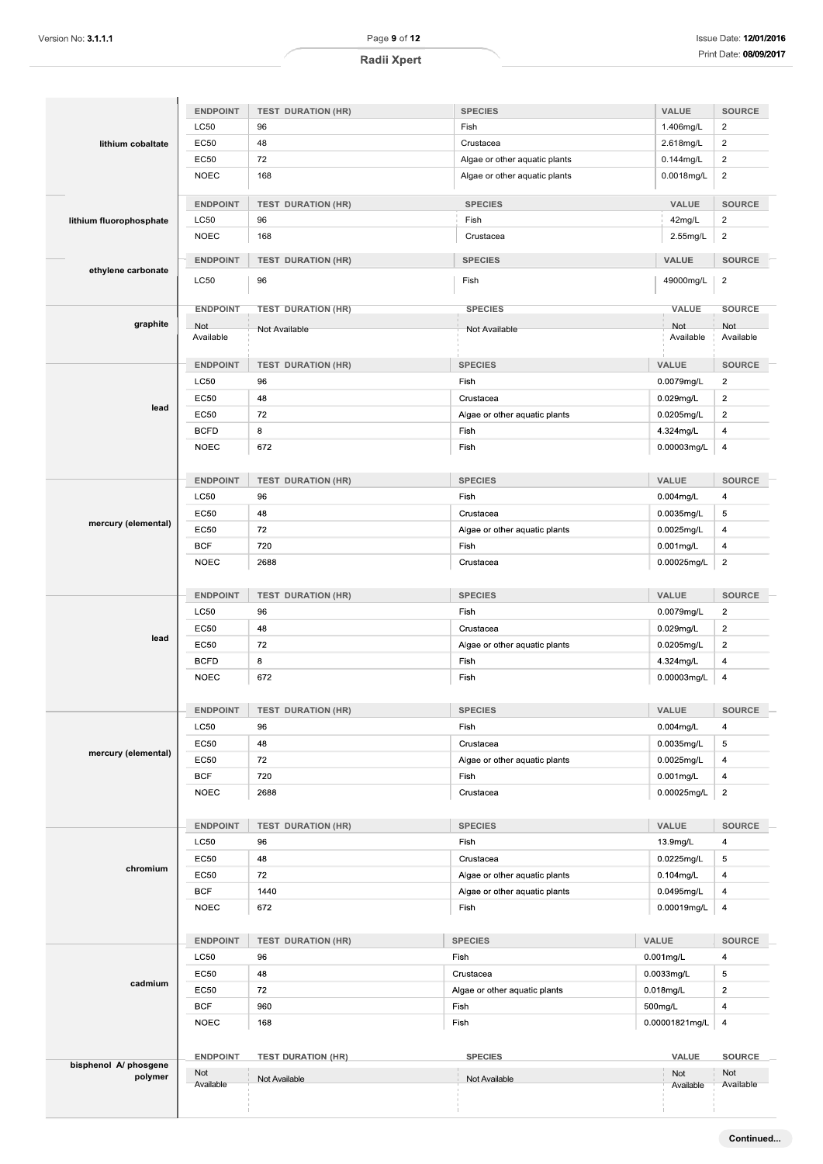|                                  | <b>ENDPOINT</b>  | <b>TEST DURATION (HR)</b> |      | <b>SPECIES</b>                |       | VALUE          | <b>SOURCE</b>           |
|----------------------------------|------------------|---------------------------|------|-------------------------------|-------|----------------|-------------------------|
|                                  | <b>LC50</b>      | 96                        |      | Fish                          |       | 1.406mg/L      | $\sqrt{2}$              |
| lithium cobaltate                | <b>EC50</b>      | 48                        |      | Crustacea                     |       | 2.618mg/L      | $\sqrt{2}$              |
|                                  | <b>EC50</b>      | 72                        |      | Algae or other aquatic plants |       | 0.144mg/L      | $\overline{c}$          |
|                                  | <b>NOEC</b>      | 168                       |      | Algae or other aquatic plants |       | 0.0018mg/L     | $\overline{c}$          |
|                                  |                  |                           |      |                               |       |                |                         |
|                                  | <b>ENDPOINT</b>  | <b>TEST DURATION (HR)</b> |      | <b>SPECIES</b>                |       | VALUE          | <b>SOURCE</b>           |
| lithium fluorophosphate          | LC50             | 96                        |      | Fish                          |       | 42mg/L         | $\overline{\mathbf{c}}$ |
|                                  | <b>NOEC</b>      | 168                       |      | Crustacea                     |       | 2.55mg/L       | $\sqrt{2}$              |
|                                  | <b>ENDPOINT</b>  | <b>TEST DURATION (HR)</b> |      | <b>SPECIES</b>                |       | VALUE          | SOURCE                  |
| ethylene carbonate               | <b>LC50</b>      | 96                        |      | Fish                          |       | 49000mg/L      | $\overline{\mathbf{c}}$ |
|                                  |                  |                           |      |                               |       |                |                         |
|                                  | <b>ENDPOINT</b>  | <b>TEST DURATION (HR)</b> |      | <b>SPECIES</b>                |       | VALUE          | <b>SOURCE</b>           |
| graphite                         | Not.             | Not Available             |      | Not Available                 |       | Not            | Not.                    |
|                                  | Available        |                           |      |                               |       | Available      | Available               |
|                                  |                  |                           |      |                               |       |                |                         |
|                                  | <b>ENDPOINT</b>  | <b>TEST DURATION (HR)</b> |      | <b>SPECIES</b>                |       | VALUE          | <b>SOURCE</b>           |
|                                  | <b>LC50</b>      | 96                        |      | Fish                          |       | 0.0079mg/L     | $\overline{\mathbf{c}}$ |
| lead                             | EC50             | 48                        |      | Crustacea                     |       | 0.029mg/L      | $\sqrt{2}$              |
|                                  | <b>EC50</b>      | 72                        |      | Algae or other aquatic plants |       | 0.0205mg/L     | $\overline{c}$          |
|                                  | <b>BCFD</b>      | 8                         |      | Fish                          |       | 4.324mg/L      | $\overline{4}$          |
|                                  | <b>NOEC</b>      | 672                       |      | Fish                          |       | 0.00003mg/L    | 4                       |
|                                  |                  |                           |      |                               |       |                |                         |
|                                  | <b>ENDPOINT</b>  | <b>TEST DURATION (HR)</b> |      | <b>SPECIES</b>                |       | VALUE          | <b>SOURCE</b>           |
|                                  | LC50             | 96                        |      | Fish                          |       | 0.004mg/L      | $\overline{a}$          |
| mercury (elemental)              | <b>EC50</b>      | 48                        |      | Crustacea                     |       | 0.0035mg/L     | 5                       |
|                                  | <b>EC50</b>      | 72                        |      | Algae or other aquatic plants |       | 0.0025mg/L     | 4                       |
|                                  | <b>BCF</b>       | 720                       |      | Fish                          |       | 0.001mg/L      | $\overline{4}$          |
|                                  | <b>NOEC</b>      | 2688                      |      | Crustacea                     |       | 0.00025mg/L    | $\overline{c}$          |
|                                  |                  |                           |      |                               |       |                |                         |
|                                  | <b>ENDPOINT</b>  | <b>TEST DURATION (HR)</b> |      | <b>SPECIES</b>                |       | VALUE          | <b>SOURCE</b>           |
|                                  | <b>LC50</b>      | 96                        |      | Fish                          |       | 0.0079mg/L     | $\overline{\mathbf{c}}$ |
| lead                             | <b>EC50</b>      | 48                        |      | Crustacea                     |       | 0.029mg/L      | $\overline{c}$          |
|                                  | <b>EC50</b>      | 72                        |      | Algae or other aquatic plants |       | 0.0205mg/L     | $\mathbf 2$             |
|                                  | <b>BCFD</b>      | 8                         |      | Fish                          |       | 4.324mg/L      | $\overline{4}$          |
|                                  | <b>NOEC</b>      | 672                       |      | Fish                          |       | 0.00003mg/L    | 4                       |
|                                  |                  |                           |      |                               |       |                |                         |
|                                  | <b>ENDPOINT</b>  | <b>TEST DURATION (HR)</b> |      | <b>SPECIES</b>                |       | VALUE          | <b>SOURCE</b>           |
|                                  | LC <sub>50</sub> | 96                        |      | Fish                          |       | 0.004mg/L      | 4                       |
|                                  | EC50             | 48                        |      | Crustacea                     |       | 0.0035mg/L     | 5                       |
| mercury (elemental)              | EC50             | 72                        |      | Algae or other aquatic plants |       | 0.0025mg/L     | 4                       |
|                                  | <b>BCF</b>       | 720                       |      | Fish                          |       | 0.001mg/L      | $\overline{4}$          |
|                                  | <b>NOEC</b>      | 2688                      |      | Crustacea                     |       | 0.00025mg/L    | $\overline{c}$          |
|                                  |                  |                           |      |                               |       |                |                         |
|                                  | <b>ENDPOINT</b>  | <b>TEST DURATION (HR)</b> |      | <b>SPECIES</b>                |       | VALUE          | SOURCE                  |
|                                  | LC50             | 96                        |      | Fish                          |       | 13.9mg/L       | 4                       |
|                                  | <b>EC50</b>      | 48                        |      | Crustacea                     |       | 0.0225mg/L     | 5                       |
| chromium                         | <b>EC50</b>      | 72                        |      | Algae or other aquatic plants |       | 0.104mg/L      | $\overline{a}$          |
|                                  | <b>BCF</b>       | 1440                      |      | Algae or other aquatic plants |       | 0.0495mg/L     | $\overline{4}$          |
|                                  | <b>NOEC</b>      | 672                       |      | Fish                          |       | 0.00019mg/L    | $\overline{a}$          |
|                                  |                  |                           |      |                               |       |                |                         |
|                                  | <b>ENDPOINT</b>  | <b>TEST DURATION (HR)</b> |      | <b>SPECIES</b>                | VALUE |                | SOURCE                  |
|                                  | <b>LC50</b>      | 96                        | Fish |                               |       | 0.001mg/L      | $\overline{4}$          |
|                                  | <b>EC50</b>      | 48                        |      | Crustacea                     |       | 0.0033mg/L     | 5                       |
| cadmium                          | EC50             | 72                        |      | Algae or other aquatic plants |       | 0.018mg/L      | $\sqrt{2}$              |
|                                  | <b>BCF</b>       | 960                       | Fish |                               |       | 500mg/L        | $\overline{4}$          |
|                                  | <b>NOEC</b>      | 168                       | Fish |                               |       | 0.00001821mg/L | 4                       |
|                                  |                  |                           |      |                               |       |                |                         |
|                                  | <b>ENDPOINT</b>  | <b>TEST DURATION (HR)</b> |      | <b>SPECIES</b>                |       | <b>VALUE</b>   | <b>SOURCE</b>           |
| bisphenol A/ phosgene<br>polymer | Not              | Not Available             |      | Not Available                 |       | Not            | Not                     |
|                                  | Available        |                           |      |                               |       | Available      | Available               |
|                                  |                  |                           |      |                               |       |                |                         |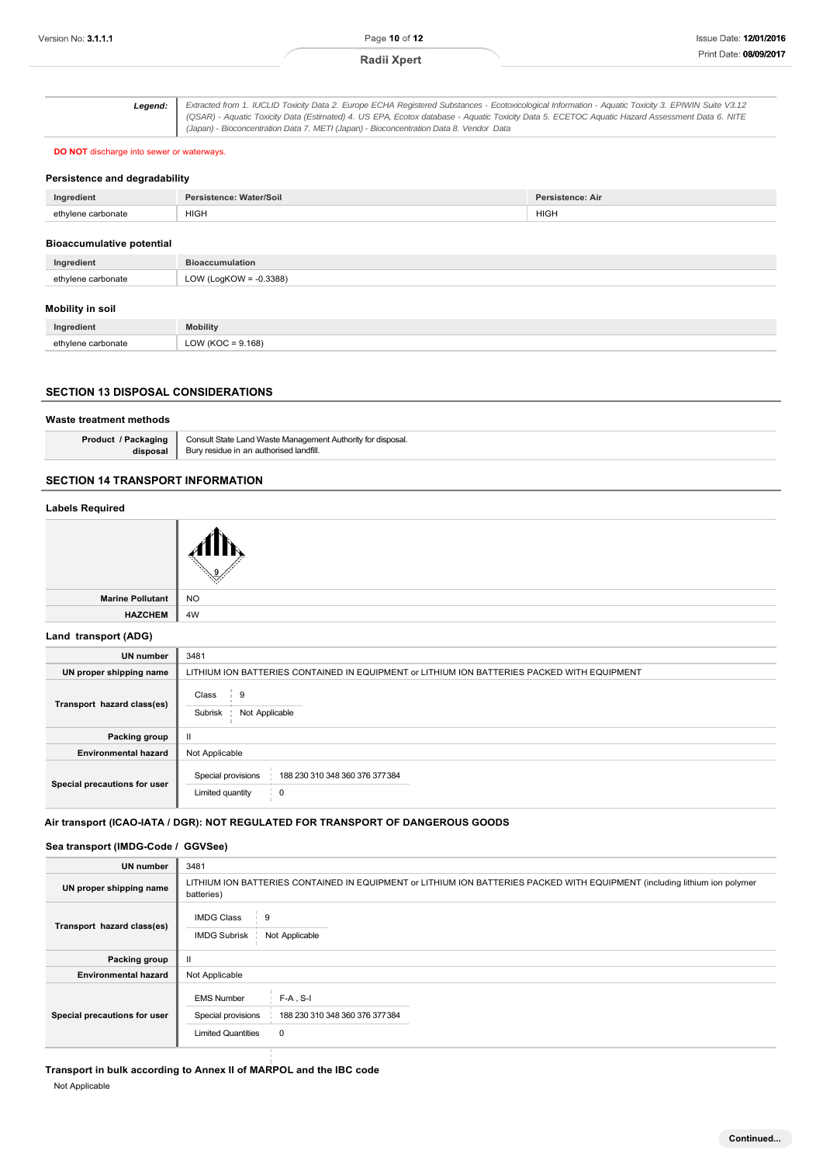| Legend:                                          | Extracted from 1. IUCLID Toxicity Data 2. Europe ECHA Registered Substances - Ecotoxicological Information - Aquatic Toxicity 3. EPIWIN Suite V3.12<br>(QSAR) - Aquatic Toxicity Data (Estimated) 4. US EPA, Ecotox database - Aquatic Toxicity Data 5. ECETOC Aquatic Hazard Assessment Data 6. NITE<br>(Japan) - Bioconcentration Data 7. METI (Japan) - Bioconcentration Data 8. Vendor Data |  |  |  |
|--------------------------------------------------|-------------------------------------------------------------------------------------------------------------------------------------------------------------------------------------------------------------------------------------------------------------------------------------------------------------------------------------------------------------------------------------------------|--|--|--|
| <b>DO NOT</b> discharge into sewer or waterways. |                                                                                                                                                                                                                                                                                                                                                                                                 |  |  |  |
| Persistence and degradability                    |                                                                                                                                                                                                                                                                                                                                                                                                 |  |  |  |
| Ingredient                                       | Persistence: Water/Soil<br><b>Persistence: Air</b>                                                                                                                                                                                                                                                                                                                                              |  |  |  |
| ethylene carbonate                               | <b>HIGH</b><br><b>HIGH</b>                                                                                                                                                                                                                                                                                                                                                                      |  |  |  |
| <b>Bioaccumulative potential</b>                 |                                                                                                                                                                                                                                                                                                                                                                                                 |  |  |  |
| Ingredient                                       | <b>Bioaccumulation</b>                                                                                                                                                                                                                                                                                                                                                                          |  |  |  |
| ethylene carbonate                               | LOW (LogKOW = $-0.3388$ )                                                                                                                                                                                                                                                                                                                                                                       |  |  |  |
| <b>Mobility in soil</b>                          |                                                                                                                                                                                                                                                                                                                                                                                                 |  |  |  |

| edien: | <b>Mobility</b>                                 |
|--------|-------------------------------------------------|
|        | OM(K)<br>168)<br>$\overline{\phantom{0}}$<br>└─ |

#### **SECTION 13 DISPOSAL CONSIDERATIONS**

#### **Waste treatment methods**

**Product / Packaging disposal** Consult State Land Waste Management Authority for disposal. Bury residue in an authorised landfill.

## **SECTION 14 TRANSPORT INFORMATION**

# **Labels Required Marine Pollutant** NO **HAZCHEM** 4W **Land transport (ADG) UN number** 3481 **UN proper shipping name** LITHIUM ION BATTERIES CONTAINED IN EQUIPMENT or LITHIUM ION BATTERIES PACKED WITH EQUIPMENT **Transport hazard class(es)**  $Class \begin{array}{c} | \\ | \end{array} 9$ Subrisk Not Applicable **Packing group** | II **Environmental hazard** Not Applicable **Special precautions for user** Special provisions | 188 230 310 348 360 376 377 384 Limited quantity 0

## **Air transport (ICAO-IATA / DGR): NOT REGULATED FOR TRANSPORT OF DANGEROUS GOODS**

## **Sea transport (IMDG-Code / GGVSee)**

| <b>UN number</b>             | 3481                                                                                                                                     |
|------------------------------|------------------------------------------------------------------------------------------------------------------------------------------|
| UN proper shipping name      | LITHIUM ION BATTERIES CONTAINED IN EQUIPMENT or LITHIUM ION BATTERIES PACKED WITH EQUIPMENT (including lithium ion polymer<br>batteries) |
| Transport hazard class(es)   | <b>IMDG Class</b><br>9<br><b>IMDG Subrisk</b><br>Not Applicable                                                                          |
| Packing group                |                                                                                                                                          |
| <b>Environmental hazard</b>  | Not Applicable                                                                                                                           |
| Special precautions for user | $F-A$ , S-I<br><b>EMS Number</b><br>Special provisions<br>188 230 310 348 360 376 377 384<br><b>Limited Quantities</b><br>$\mathbf 0$    |

## **Transport in bulk according to Annex II of MARPOL and the IBC code**

Not Applicable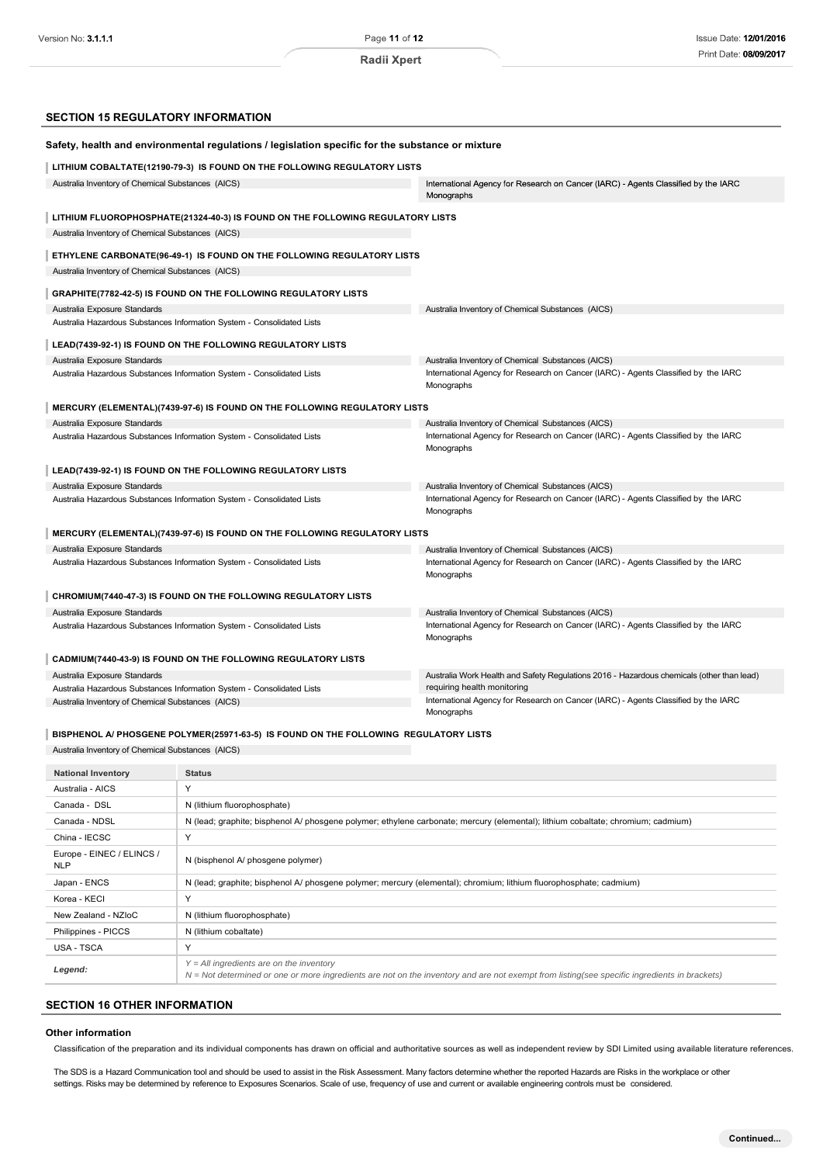## **SECTION 15 REGULATORY INFORMATION**

| Safety, health and environmental regulations / legislation specific for the substance or mixture |                                                                                                  |
|--------------------------------------------------------------------------------------------------|--------------------------------------------------------------------------------------------------|
| LITHIUM COBALTATE(12190-79-3) IS FOUND ON THE FOLLOWING REGULATORY LISTS                         |                                                                                                  |
| Australia Inventory of Chemical Substances (AICS)                                                | International Agency for Research on Cancer (IARC) - Agents Classified by the IARC<br>Monographs |
| LITHIUM FLUOROPHOSPHATE(21324-40-3) IS FOUND ON THE FOLLOWING REGULATORY LISTS                   |                                                                                                  |
| Australia Inventory of Chemical Substances (AICS)                                                |                                                                                                  |
| ETHYLENE CARBONATE(96-49-1) IS FOUND ON THE FOLLOWING REGULATORY LISTS                           |                                                                                                  |
| Australia Inventory of Chemical Substances (AICS)                                                |                                                                                                  |
| GRAPHITE(7782-42-5) IS FOUND ON THE FOLLOWING REGULATORY LISTS                                   |                                                                                                  |
| Australia Exposure Standards                                                                     | Australia Inventory of Chemical Substances (AICS)                                                |
| Australia Hazardous Substances Information System - Consolidated Lists                           |                                                                                                  |
| LEAD(7439-92-1) IS FOUND ON THE FOLLOWING REGULATORY LISTS                                       |                                                                                                  |
| Australia Exposure Standards                                                                     | Australia Inventory of Chemical Substances (AICS)                                                |
| Australia Hazardous Substances Information System - Consolidated Lists                           | International Agency for Research on Cancer (IARC) - Agents Classified by the IARC<br>Monographs |
| MERCURY (ELEMENTAL)(7439-97-6) IS FOUND ON THE FOLLOWING REGULATORY LISTS                        |                                                                                                  |
| Australia Exposure Standards                                                                     | Australia Inventory of Chemical Substances (AICS)                                                |
| Australia Hazardous Substances Information System - Consolidated Lists                           | International Agency for Research on Cancer (IARC) - Agents Classified by the IARC<br>Monographs |
| LEAD(7439-92-1) IS FOUND ON THE FOLLOWING REGULATORY LISTS                                       |                                                                                                  |
| Australia Exposure Standards                                                                     | Australia Inventory of Chemical Substances (AICS)                                                |
| Australia Hazardous Substances Information System - Consolidated Lists                           | International Agency for Research on Cancer (IARC) - Agents Classified by the IARC<br>Monographs |
| MERCURY (ELEMENTAL)(7439-97-6) IS FOUND ON THE FOLLOWING REGULATORY LISTS                        |                                                                                                  |
| Australia Exposure Standards                                                                     | Australia Inventory of Chemical Substances (AICS)                                                |
| Australia Hazardous Substances Information System - Consolidated Lists                           | International Agency for Research on Cancer (IARC) - Agents Classified by the IARC<br>Monographs |
| CHROMIUM(7440-47-3) IS FOUND ON THE FOLLOWING REGULATORY LISTS                                   |                                                                                                  |
| Australia Exposure Standards                                                                     | Australia Inventory of Chemical Substances (AICS)                                                |
| Australia Hazardous Substances Information System - Consolidated Lists                           | International Agency for Research on Cancer (IARC) - Agents Classified by the IARC<br>Monographs |
| CADMIUM(7440-43-9) IS FOUND ON THE FOLLOWING REGULATORY LISTS                                    |                                                                                                  |
| Australia Exposure Standards                                                                     | Australia Work Health and Safety Regulations 2016 - Hazardous chemicals (other than lead)        |
| Australia Hazardous Substances Information System - Consolidated Lists                           | requiring health monitoring                                                                      |
| Australia Inventory of Chemical Substances (AICS)                                                | International Agency for Research on Cancer (IARC) - Agents Classified by the IARC<br>Monographs |

## **BISPHENOL A/ PHOSGENE POLYMER(25971-63-5) IS FOUND ON THE FOLLOWING REGULATORY LISTS**

Australia Inventory of Chemical Substances (AICS)

| <b>National Inventory</b>               | <b>Status</b>                                                                                                                                                                                |
|-----------------------------------------|----------------------------------------------------------------------------------------------------------------------------------------------------------------------------------------------|
| Australia - AICS                        | $\checkmark$                                                                                                                                                                                 |
| Canada - DSL                            | N (lithium fluorophosphate)                                                                                                                                                                  |
| Canada - NDSL                           | N (lead; graphite; bisphenol A/ phosgene polymer; ethylene carbonate; mercury (elemental); lithium cobaltate; chromium; cadmium)                                                             |
| China - IECSC                           | $\checkmark$                                                                                                                                                                                 |
| Europe - EINEC / ELINCS /<br><b>NLP</b> | N (bisphenol A/ phosgene polymer)                                                                                                                                                            |
| Japan - ENCS                            | N (lead; graphite; bisphenol A/ phosgene polymer; mercury (elemental); chromium; lithium fluorophosphate; cadmium)                                                                           |
| Korea - KECI                            | $\checkmark$                                                                                                                                                                                 |
| New Zealand - NZIoC                     | N (lithium fluorophosphate)                                                                                                                                                                  |
| Philippines - PICCS                     | N (lithium cobaltate)                                                                                                                                                                        |
| <b>USA - TSCA</b>                       | $\checkmark$                                                                                                                                                                                 |
| Legend:                                 | $Y = All$ ingredients are on the inventory<br>$N = Not$ determined or one or more ingredients are not on the inventory and are not exempt from listing(see specific ingredients in brackets) |

## **SECTION 16 OTHER INFORMATION**

#### **Other information**

Classification of the preparation and its individual components has drawn on official and authoritative sources as well as independent review by SDI Limited using available literature references.

The SDS is a Hazard Communication tool and should be used to assist in the Risk Assessment. Many factors determine whether the reported Hazards are Risks in the workplace or other settings. Risks may be determined by reference to Exposures Scenarios. Scale of use, frequency of use and current or available engineering controls must be considered.